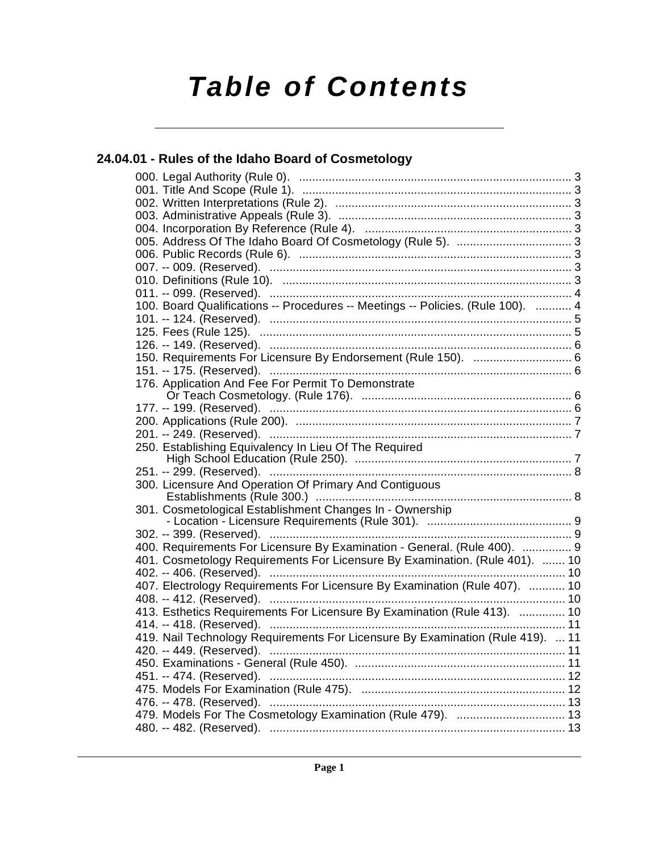# **Table of Contents**

## **[24.04.01 - Rules of the Idaho Board of Cosmetology](#page-2-0)**

| 100. Board Qualifications -- Procedures -- Meetings -- Policies. (Rule 100).  4 |  |
|---------------------------------------------------------------------------------|--|
|                                                                                 |  |
|                                                                                 |  |
| 126. -- 149. (Reserved). ……………………………………………………………………………………… 6                    |  |
| 150. Requirements For Licensure By Endorsement (Rule 150).  6                   |  |
|                                                                                 |  |
| 176. Application And Fee For Permit To Demonstrate                              |  |
|                                                                                 |  |
|                                                                                 |  |
|                                                                                 |  |
|                                                                                 |  |
| 250. Establishing Equivalency In Lieu Of The Required                           |  |
|                                                                                 |  |
|                                                                                 |  |
| 300. Licensure And Operation Of Primary And Contiguous                          |  |
| 301. Cosmetological Establishment Changes In - Ownership                        |  |
|                                                                                 |  |
|                                                                                 |  |
| 400. Requirements For Licensure By Examination - General. (Rule 400).  9        |  |
| 401. Cosmetology Requirements For Licensure By Examination. (Rule 401).  10     |  |
|                                                                                 |  |
| 407. Electrology Requirements For Licensure By Examination (Rule 407).  10      |  |
|                                                                                 |  |
| 413. Esthetics Requirements For Licensure By Examination (Rule 413).  10        |  |
|                                                                                 |  |
| 419. Nail Technology Requirements For Licensure By Examination (Rule 419).  11  |  |
| 420. -- 449. (Reserved).                                                        |  |
|                                                                                 |  |
|                                                                                 |  |
|                                                                                 |  |
|                                                                                 |  |
| 479. Models For The Cosmetology Examination (Rule 479).  13                     |  |
|                                                                                 |  |
|                                                                                 |  |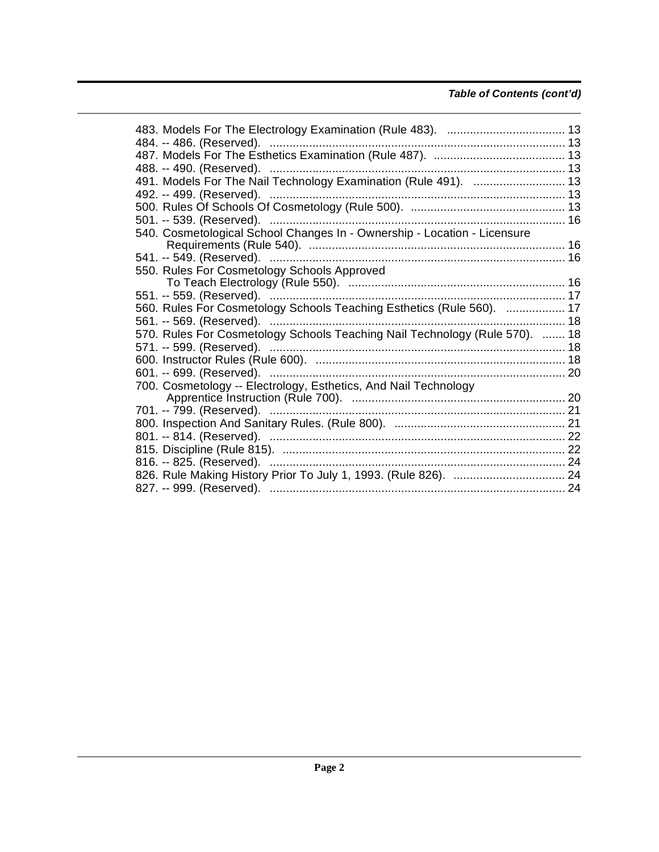## **Table of Contents (cont'd)**

| 491. Models For The Nail Technology Examination (Rule 491).  13             |  |
|-----------------------------------------------------------------------------|--|
| 492. -- 499. (Reserved). ………………………………………………………………………… 13                    |  |
|                                                                             |  |
|                                                                             |  |
| 540. Cosmetological School Changes In - Ownership - Location - Licensure    |  |
|                                                                             |  |
|                                                                             |  |
| 550. Rules For Cosmetology Schools Approved                                 |  |
|                                                                             |  |
|                                                                             |  |
| 560. Rules For Cosmetology Schools Teaching Esthetics (Rule 560).  17       |  |
|                                                                             |  |
| 570. Rules For Cosmetology Schools Teaching Nail Technology (Rule 570).  18 |  |
|                                                                             |  |
|                                                                             |  |
|                                                                             |  |
| 700. Cosmetology -- Electrology, Esthetics, And Nail Technology             |  |
|                                                                             |  |
|                                                                             |  |
|                                                                             |  |
|                                                                             |  |
|                                                                             |  |
|                                                                             |  |
|                                                                             |  |
|                                                                             |  |
|                                                                             |  |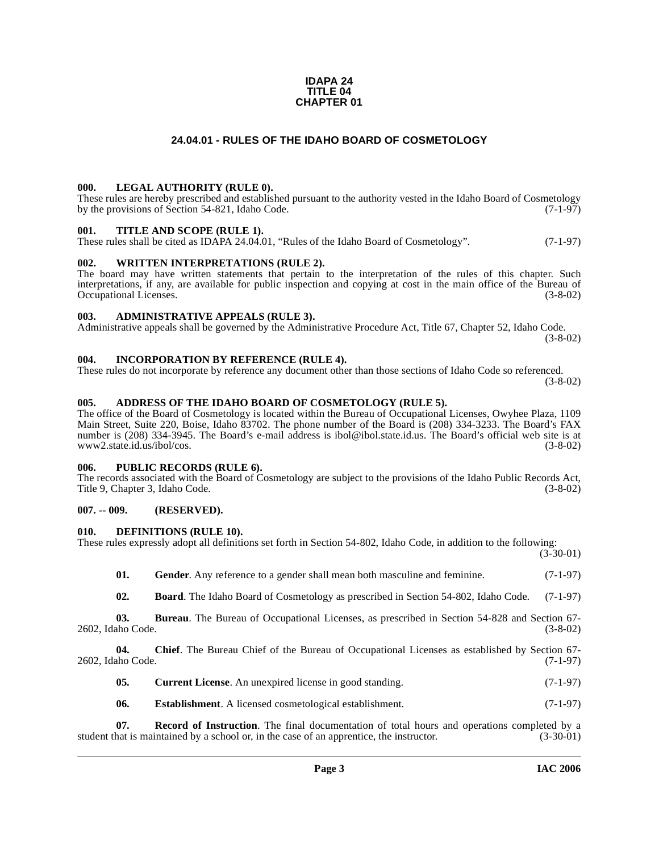#### **IDAPA 24 TITLE 04 CHAPTER 01**

#### **24.04.01 - RULES OF THE IDAHO BOARD OF COSMETOLOGY**

#### <span id="page-2-1"></span><span id="page-2-0"></span>**000. LEGAL AUTHORITY (RULE 0).**

These rules are hereby prescribed and established pursuant to the authority vested in the Idaho Board of Cosmetology by the provisions of Section 54-821, Idaho Code. (7-1-97)

#### <span id="page-2-2"></span>**001. TITLE AND SCOPE (RULE 1).**

These rules shall be cited as IDAPA 24.04.01, "Rules of the Idaho Board of Cosmetology". (7-1-97)

#### <span id="page-2-3"></span>**002. WRITTEN INTERPRETATIONS (RULE 2).**

The board may have written statements that pertain to the interpretation of the rules of this chapter. Such interpretations, if any, are available for public inspection and copying at cost in the main office of the Bureau of Occupational Licenses. (3-8-02) Occupational Licenses.

#### <span id="page-2-4"></span>**003. ADMINISTRATIVE APPEALS (RULE 3).**

Administrative appeals shall be governed by the Administrative Procedure Act, Title 67, Chapter 52, Idaho Code. (3-8-02)

#### <span id="page-2-5"></span>**004. INCORPORATION BY REFERENCE (RULE 4).**

These rules do not incorporate by reference any document other than those sections of Idaho Code so referenced. (3-8-02)

#### <span id="page-2-10"></span><span id="page-2-6"></span>**005. ADDRESS OF THE IDAHO BOARD OF COSMETOLOGY (RULE 5).**

[The office of the Board of Cosmetology is located within the Bureau of Occupational Licenses, Owyhee Plaza, 1109](mailto:ibol@ibol.state.id.us) Main Street, Suite 220, Boise, Idaho 83702. The phone number of the Board is (208) 334-3233. The Board's FAX number is (208) 334-3945. The Board's e-mail address is ibol@ibol.state.id.us. The Board's official web site is at [www2.state.id.us/ibol/cos.](https://www.ibol.idaho.gov/) (3-8-02)

#### <span id="page-2-7"></span>**006. PUBLIC RECORDS (RULE 6).**

The records associated with the Board of Cosmetology are subject to the provisions of the Idaho Public Records Act, Title 9, Chapter 3, Idaho Code. (3-8-02)

#### <span id="page-2-8"></span>**007. -- 009. (RESERVED).**

#### <span id="page-2-13"></span><span id="page-2-9"></span>**010. DEFINITIONS (RULE 10).**

These rules expressly adopt all definitions set forth in Section 54-802, Idaho Code, in addition to the following:

 $(3-30-01)$ 

<span id="page-2-14"></span>

| 01. | <b>Gender</b> . Any reference to a gender shall mean both masculine and feminine. | $(7-1-97)$ |
|-----|-----------------------------------------------------------------------------------|------------|
|-----|-----------------------------------------------------------------------------------|------------|

<span id="page-2-11"></span>**02. Board**. The Idaho Board of Cosmetology as prescribed in Section 54-802, Idaho Code. (7-1-97)

**03. Bureau**. The Bureau of Occupational Licenses, as prescribed in Section 54-828 and Section 67- 2602, Idaho Code. (3-8-02)

**04.** Chief. The Bureau Chief of the Bureau of Occupational Licenses as established by Section 67-<br>(7-1-97) (7-1-97) 2602, Idaho Code.

- <span id="page-2-12"></span>**05.** Current License. An unexpired license in good standing. (7-1-97)
- <span id="page-2-15"></span>**06.** Establishment. A licensed cosmetological establishment. (7-1-97)

**07. Record of Instruction**. The final documentation of total hours and operations completed by a student that is maintained by a school or, in the case of an apprentice, the instructor. (3-30-01)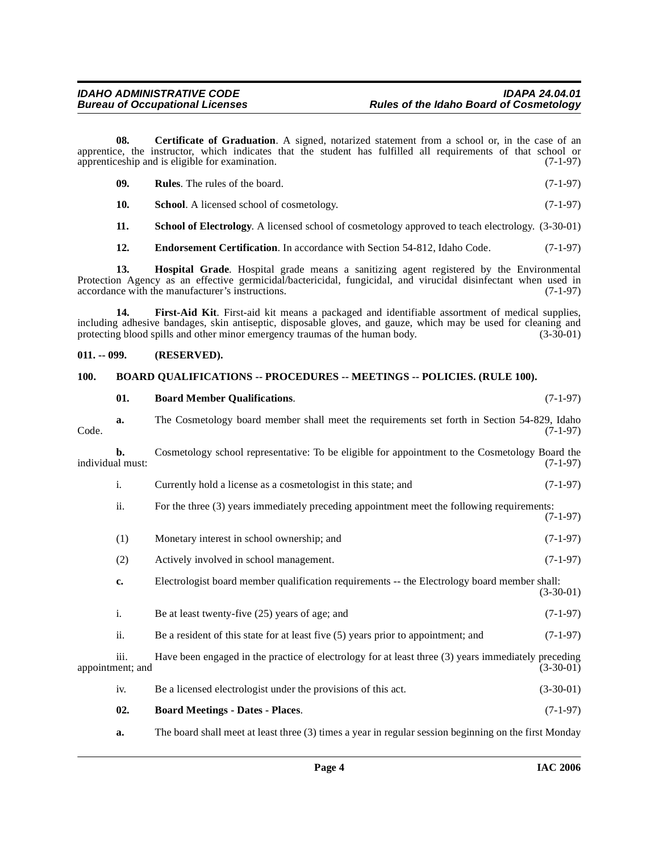**08. Certificate of Graduation**. A signed, notarized statement from a school or, in the case of an apprentice, the instructor, which indicates that the student has fulfilled all requirements of that school or apprentices apprentices in and is eligible for examination. apprenticeship and is eligible for examination.

<span id="page-3-5"></span>

| - 09. | <b>Rules.</b> The rules of the board.            | $(7-1-97)$ |
|-------|--------------------------------------------------|------------|
|       | <b>School.</b> A licensed school of cosmetology. | $(7-1-97)$ |

<span id="page-3-9"></span>**11. School of Electrology**. A licensed school of cosmetology approved to teach electrology. (3-30-01)

<span id="page-3-8"></span><span id="page-3-7"></span><span id="page-3-6"></span>**12. Endorsement Certification**. In accordance with Section 54-812, Idaho Code. (7-1-97)

**13. Hospital Grade**. Hospital grade means a sanitizing agent registered by the Environmental Protection Agency as an effective germicidal/bactericidal, fungicidal, and virucidal disinfectant when used in accordance with the manufacturer's instructions. (7-1-97) accordance with the manufacturer's instructions.

**14. First-Aid Kit**. First-aid kit means a packaged and identifiable assortment of medical supplies, including adhesive bandages, skin antiseptic, disposable gloves, and gauze, which may be used for cleaning and protecting blood spills and other minor emergency traumas of the human body.

#### <span id="page-3-0"></span>**011. -- 099. (RESERVED).**

#### <span id="page-3-4"></span><span id="page-3-1"></span>**100. BOARD QUALIFICATIONS -- PROCEDURES -- MEETINGS -- POLICIES. (RULE 100).**

<span id="page-3-3"></span>

|                  | 01.                      | <b>Board Member Qualifications.</b>                                                                 | $(7-1-97)$  |
|------------------|--------------------------|-----------------------------------------------------------------------------------------------------|-------------|
| Code.            | a.                       | The Cosmetology board member shall meet the requirements set forth in Section 54-829, Idaho         | $(7-1-97)$  |
| individual must: | b.                       | Cosmetology school representative: To be eligible for appointment to the Cosmetology Board the      | $(7-1-97)$  |
|                  | i.                       | Currently hold a license as a cosmetologist in this state; and                                      | $(7-1-97)$  |
|                  | ii.                      | For the three (3) years immediately preceding appointment meet the following requirements:          | $(7-1-97)$  |
|                  | (1)                      | Monetary interest in school ownership; and                                                          | $(7-1-97)$  |
|                  | (2)                      | Actively involved in school management.                                                             | $(7-1-97)$  |
|                  | c.                       | Electrologist board member qualification requirements -- the Electrology board member shall:        | $(3-30-01)$ |
|                  | i.                       | Be at least twenty-five $(25)$ years of age; and                                                    | $(7-1-97)$  |
|                  | ii.                      | Be a resident of this state for at least five $(5)$ years prior to appointment; and                 | $(7-1-97)$  |
|                  | iii.<br>appointment; and | Have been engaged in the practice of electrology for at least three (3) years immediately preceding | $(3-30-01)$ |
|                  | iv.                      | Be a licensed electrologist under the provisions of this act.                                       | $(3-30-01)$ |
|                  | 02.                      | <b>Board Meetings - Dates - Places.</b>                                                             | $(7-1-97)$  |

<span id="page-3-2"></span>**a.** The board shall meet at least three (3) times a year in regular session beginning on the first Monday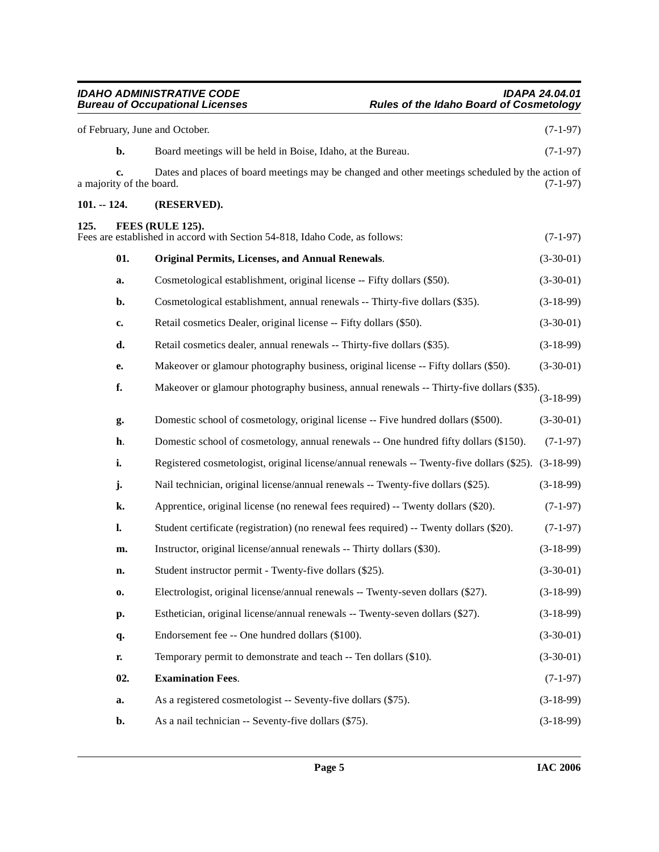<span id="page-4-4"></span><span id="page-4-3"></span><span id="page-4-2"></span><span id="page-4-1"></span><span id="page-4-0"></span>

| of February, June and October. |                                | $(7-1-97)$                                                                                      |             |
|--------------------------------|--------------------------------|-------------------------------------------------------------------------------------------------|-------------|
|                                | b.                             | Board meetings will be held in Boise, Idaho, at the Bureau.                                     | $(7-1-97)$  |
|                                | c.<br>a majority of the board. | Dates and places of board meetings may be changed and other meetings scheduled by the action of | $(7-1-97)$  |
| $101. - 124.$                  |                                | (RESERVED).                                                                                     |             |
| 125.                           |                                | FEES (RULE 125).<br>Fees are established in accord with Section 54-818, Idaho Code, as follows: | $(7-1-97)$  |
|                                | 01.                            | <b>Original Permits, Licenses, and Annual Renewals.</b>                                         | $(3-30-01)$ |
|                                | a.                             | Cosmetological establishment, original license -- Fifty dollars (\$50).                         | $(3-30-01)$ |
|                                | b.                             | Cosmetological establishment, annual renewals -- Thirty-five dollars (\$35).                    | $(3-18-99)$ |
|                                | c.                             | Retail cosmetics Dealer, original license -- Fifty dollars (\$50).                              | $(3-30-01)$ |
|                                | d.                             | Retail cosmetics dealer, annual renewals -- Thirty-five dollars (\$35).                         | $(3-18-99)$ |
|                                | e.                             | Makeover or glamour photography business, original license -- Fifty dollars (\$50).             | $(3-30-01)$ |
|                                | f.                             | Makeover or glamour photography business, annual renewals -- Thirty-five dollars (\$35).        | $(3-18-99)$ |
|                                | g.                             | Domestic school of cosmetology, original license -- Five hundred dollars (\$500).               | $(3-30-01)$ |
|                                | h.                             | Domestic school of cosmetology, annual renewals -- One hundred fifty dollars (\$150).           | $(7-1-97)$  |
|                                | i.                             | Registered cosmetologist, original license/annual renewals -- Twenty-five dollars (\$25).       | $(3-18-99)$ |
|                                | j.                             | Nail technician, original license/annual renewals -- Twenty-five dollars (\$25).                | $(3-18-99)$ |
|                                | k.                             | Apprentice, original license (no renewal fees required) -- Twenty dollars (\$20).               | $(7-1-97)$  |
|                                | l.                             | Student certificate (registration) (no renewal fees required) -- Twenty dollars (\$20).         | $(7-1-97)$  |
|                                | m.                             | Instructor, original license/annual renewals -- Thirty dollars (\$30).                          | $(3-18-99)$ |
|                                | n.                             | Student instructor permit - Twenty-five dollars (\$25).                                         | $(3-30-01)$ |
|                                | 0.                             | Electrologist, original license/annual renewals -- Twenty-seven dollars (\$27).                 | $(3-18-99)$ |
|                                | p.                             | Esthetician, original license/annual renewals -- Twenty-seven dollars (\$27).                   | $(3-18-99)$ |
|                                | q.                             | Endorsement fee -- One hundred dollars (\$100).                                                 | $(3-30-01)$ |
|                                | r.                             | Temporary permit to demonstrate and teach -- Ten dollars (\$10).                                | $(3-30-01)$ |
|                                | 02.                            | <b>Examination Fees.</b>                                                                        | $(7-1-97)$  |
|                                | a.                             | As a registered cosmetologist -- Seventy-five dollars (\$75).                                   | $(3-18-99)$ |
|                                | b.                             | As a nail technician -- Seventy-five dollars (\$75).                                            | $(3-18-99)$ |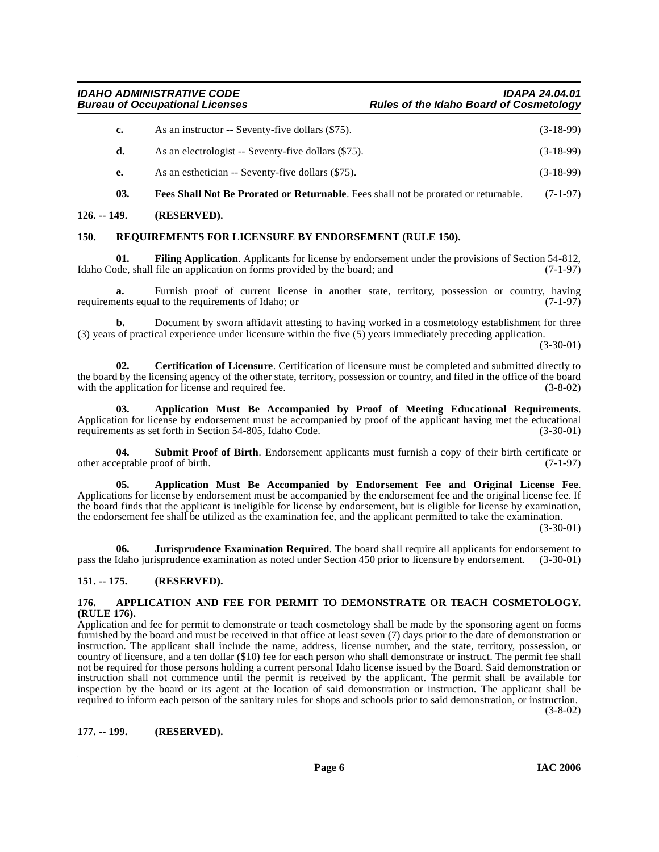| c. | As an instructor -- Seventy-five dollars (\$75).    | $(3-18-99)$ |
|----|-----------------------------------------------------|-------------|
|    | As an electrologist -- Seventy-five dollars (\$75). | $(3-18-99)$ |
|    | As an esthetician -- Seventy-five dollars (\$75).   | $(3-18-99)$ |

<span id="page-5-10"></span><span id="page-5-9"></span>**03. Fees Shall Not Be Prorated or Returnable**. Fees shall not be prorated or returnable. (7-1-97)

<span id="page-5-0"></span>**126. -- 149. (RESERVED).**

#### <span id="page-5-12"></span><span id="page-5-1"></span>**150. REQUIREMENTS FOR LICENSURE BY ENDORSEMENT (RULE 150).**

**01. Filing Application**. Applicants for license by endorsement under the provisions of Section 54-812, Idaho Code, shall file an application on forms provided by the board; and  $(7-1-97)$ 

**a.** Furnish proof of current license in another state, territory, possession or country, having ents equal to the requirements of Idaho: or requirements equal to the requirements of Idaho; or

**b.** Document by sworn affidavit attesting to having worked in a cosmetology establishment for three (3) years of practical experience under licensure within the five (5) years immediately preceding application.

(3-30-01)

<span id="page-5-8"></span>**02. Certification of Licensure**. Certification of licensure must be completed and submitted directly to the board by the licensing agency of the other state, territory, possession or country, and filed in the office of the board with the application for license and required fee. (3-8-02)

<span id="page-5-7"></span>**03. Application Must Be Accompanied by Proof of Meeting Educational Requirements**. Application for license by endorsement must be accompanied by proof of the applicant having met the educational requirements as set forth in Section 54-805, Idaho Code. (3-30-01)

<span id="page-5-13"></span>**04. Submit Proof of Birth**. Endorsement applicants must furnish a copy of their birth certificate or other acceptable proof of birth. (7-1-97)

<span id="page-5-6"></span>**05. Application Must Be Accompanied by Endorsement Fee and Original License Fee**. Applications for license by endorsement must be accompanied by the endorsement fee and the original license fee. If the board finds that the applicant is ineligible for license by endorsement, but is eligible for license by examination, the endorsement fee shall be utilized as the examination fee, and the applicant permitted to take the examination.

(3-30-01)

<span id="page-5-11"></span>**06. Jurisprudence Examination Required**. The board shall require all applicants for endorsement to pass the Idaho jurisprudence examination as noted under Section 450 prior to licensure by endorsement. (3-30-01)

#### <span id="page-5-2"></span>**151. -- 175. (RESERVED).**

#### <span id="page-5-5"></span><span id="page-5-3"></span>**176. APPLICATION AND FEE FOR PERMIT TO DEMONSTRATE OR TEACH COSMETOLOGY. (RULE 176).**

Application and fee for permit to demonstrate or teach cosmetology shall be made by the sponsoring agent on forms furnished by the board and must be received in that office at least seven (7) days prior to the date of demonstration or instruction. The applicant shall include the name, address, license number, and the state, territory, possession, or country of licensure, and a ten dollar (\$10) fee for each person who shall demonstrate or instruct. The permit fee shall not be required for those persons holding a current personal Idaho license issued by the Board. Said demonstration or instruction shall not commence until the permit is received by the applicant. The permit shall be available for inspection by the board or its agent at the location of said demonstration or instruction. The applicant shall be required to inform each person of the sanitary rules for shops and schools prior to said demonstration, or instruction. (3-8-02)

<span id="page-5-4"></span>**177. -- 199. (RESERVED).**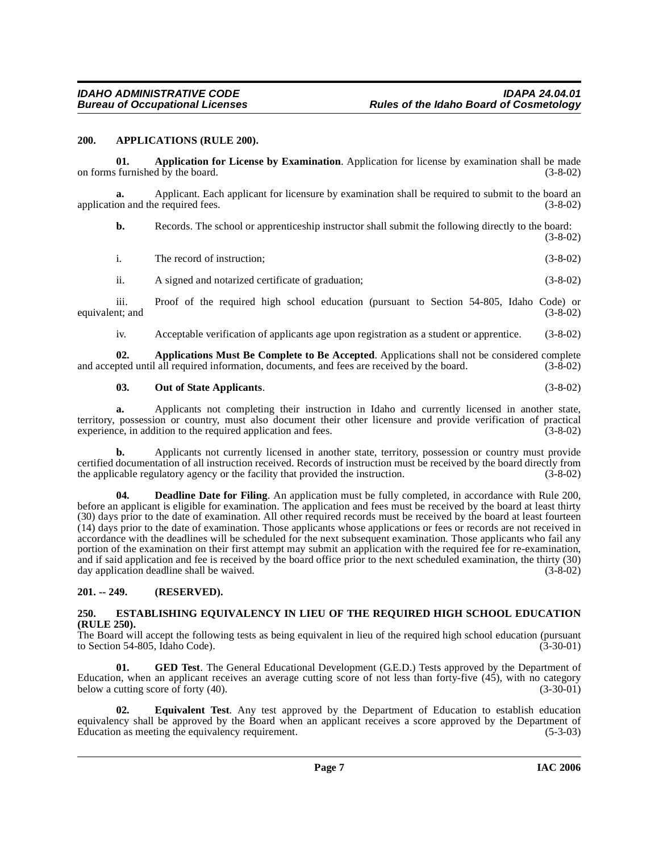#### <span id="page-6-4"></span><span id="page-6-0"></span>**200. APPLICATIONS (RULE 200).**

<span id="page-6-3"></span>**01. Application for License by Examination**. Application for license by examination shall be made on forms furnished by the board.  $(3-8-02)$ 

**a.** Applicant. Each applicant for licensure by examination shall be required to submit to the board an on and the required fees. (3-8-02) application and the required fees.

**b.** Records. The school or apprenticeship instructor shall submit the following directly to the board: (3-8-02)

| The record of instruction; | $(3-8-02)$ |
|----------------------------|------------|
|                            |            |

ii. A signed and notarized certificate of graduation; (3-8-02)

iii. Proof of the required high school education (pursuant to Section 54-805, Idaho Code) or nt; and (3-8-02) equivalent; and

<span id="page-6-5"></span>iv. Acceptable verification of applicants age upon registration as a student or apprentice. (3-8-02)

**02. Applications Must Be Complete to Be Accepted**. Applications shall not be considered complete pted until all required information, documents, and fees are received by the board. (3-8-02) and accepted until all required information, documents, and fees are received by the board.

#### <span id="page-6-10"></span>**03. Out of State Applicants**. (3-8-02)

**a.** Applicants not completing their instruction in Idaho and currently licensed in another state, territory, possession or country, must also document their other licensure and provide verification of practical experience, in addition to the required application and fees.

**b.** Applicants not currently licensed in another state, territory, possession or country must provide certified documentation of all instruction received. Records of instruction must be received by the board directly from the applicable regulatory agency or the facility that provided the instruction.

<span id="page-6-6"></span>**04. Deadline Date for Filing**. An application must be fully completed, in accordance with Rule 200, before an applicant is eligible for examination. The application and fees must be received by the board at least thirty (30) days prior to the date of examination. All other required records must be received by the board at least fourteen (14) days prior to the date of examination. Those applicants whose applications or fees or records are not received in accordance with the deadlines will be scheduled for the next subsequent examination. Those applicants who fail any portion of the examination on their first attempt may submit an application with the required fee for re-examination, and if said application and fee is received by the board office prior to the next scheduled examination, the thirty (30) day application deadline shall be waived. (3-8-02)

#### <span id="page-6-1"></span>**201. -- 249. (RESERVED).**

#### <span id="page-6-8"></span><span id="page-6-2"></span>**250. ESTABLISHING EQUIVALENCY IN LIEU OF THE REQUIRED HIGH SCHOOL EDUCATION (RULE 250).**

The Board will accept the following tests as being equivalent in lieu of the required high school education (pursuant to Section 54-805, Idaho Code). (3-30-01) to Section  $54-805$ , Idaho Code).

<span id="page-6-9"></span>**01.** GED Test. The General Educational Development (G.E.D.) Tests approved by the Department of Education, when an applicant receives an average cutting score of not less than forty-five  $(45)$ , with no category below a cutting score of forty  $(40)$ .  $(3-30-01)$ below a cutting score of forty  $(40)$ .

<span id="page-6-7"></span>**02. Equivalent Test**. Any test approved by the Department of Education to establish education equivalency shall be approved by the Board when an applicant receives a score approved by the Department of Education as meeting the equivalency requirement. (5-3-03) Education as meeting the equivalency requirement.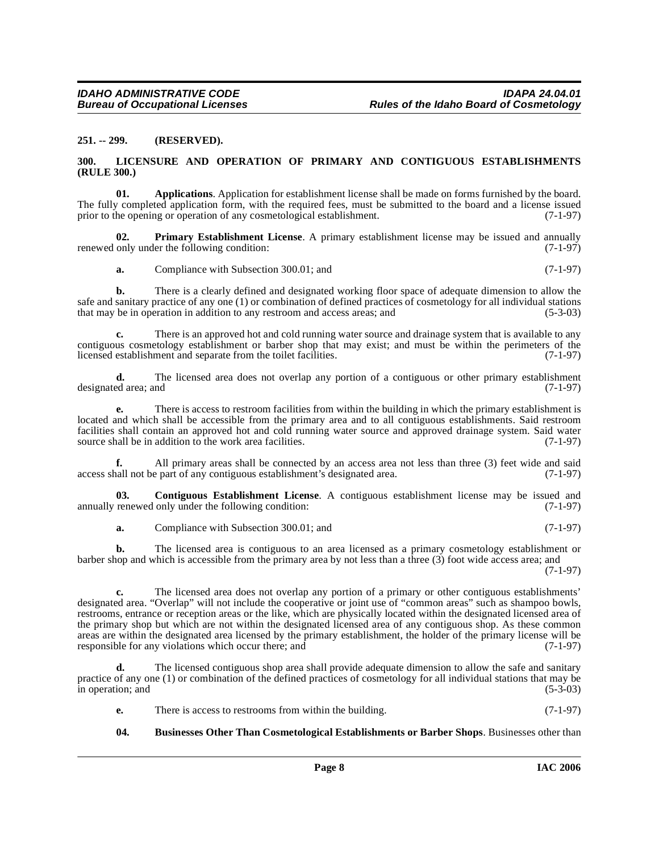#### <span id="page-7-0"></span>**251. -- 299. (RESERVED).**

#### <span id="page-7-5"></span><span id="page-7-1"></span>**300. LICENSURE AND OPERATION OF PRIMARY AND CONTIGUOUS ESTABLISHMENTS (RULE 300.)**

<span id="page-7-2"></span>**01. Applications**. Application for establishment license shall be made on forms furnished by the board. The fully completed application form, with the required fees, must be submitted to the board and a license issued prior to the opening or operation of any cosmetological establishment. (7-1-97)

**02. Primary Establishment License**. A primary establishment license may be issued and annually only under the following condition: (7-1-97) renewed only under the following condition:

<span id="page-7-6"></span>**a.** Compliance with Subsection 300.01; and  $(7-1-97)$ 

**b.** There is a clearly defined and designated working floor space of adequate dimension to allow the safe and sanitary practice of any one (1) or combination of defined practices of cosmetology for all individual stations that may be in operation in addition to any restroom and access areas; and  $(5-3-03)$ that may be in operation in addition to any restroom and access areas; and

There is an approved hot and cold running water source and drainage system that is available to any contiguous cosmetology establishment or barber shop that may exist; and must be within the perimeters of the licensed establishment and separate from the toilet facilities. (7-1-97) licensed establishment and separate from the toilet facilities.

**d.** The licensed area does not overlap any portion of a contiguous or other primary establishment designated area; and (7-1-97)

**e.** There is access to restroom facilities from within the building in which the primary establishment is located and which shall be accessible from the primary area and to all contiguous establishments. Said restroom facilities shall contain an approved hot and cold running water source and approved drainage system. Said water source shall be in addition to the work area facilities. (7-1-97) source shall be in addition to the work area facilities.

**f.** All primary areas shall be connected by an access area not less than three (3) feet wide and said hall not be part of any contiguous establishment's designated area. (7-1-97) access shall not be part of any contiguous establishment's designated area.

**03.** Contiguous Establishment License. A contiguous establishment license may be issued and renewed only under the following condition: (7-1-97) annually renewed only under the following condition:

<span id="page-7-4"></span>**a.** Compliance with Subsection 300.01; and (7-1-97)

**b.** The licensed area is contiguous to an area licensed as a primary cosmetology establishment or barber shop and which is accessible from the primary area by not less than a three (3) foot wide access area; and

(7-1-97)

**c.** The licensed area does not overlap any portion of a primary or other contiguous establishments' designated area. "Overlap" will not include the cooperative or joint use of "common areas" such as shampoo bowls, restrooms, entrance or reception areas or the like, which are physically located within the designated licensed area of the primary shop but which are not within the designated licensed area of any contiguous shop. As these common areas are within the designated area licensed by the primary establishment, the holder of the primary license will be responsible for any violations which occur there; and (7-1-97)

**d.** The licensed contiguous shop area shall provide adequate dimension to allow the safe and sanitary practice of any one (1) or combination of the defined practices of cosmetology for all individual stations that may be in operation; and (5-3-03)

**e.** There is access to restrooms from within the building. (7-1-97)

#### <span id="page-7-3"></span>**04. Businesses Other Than Cosmetological Establishments or Barber Shops**. Businesses other than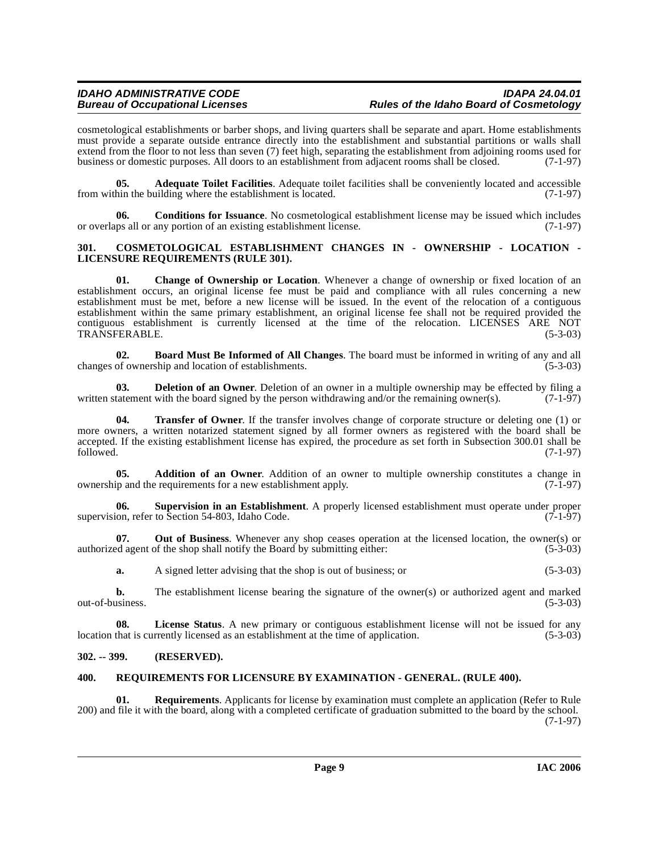cosmetological establishments or barber shops, and living quarters shall be separate and apart. Home establishments must provide a separate outside entrance directly into the establishment and substantial partitions or walls shall extend from the floor to not less than seven (7) feet high, separating the establishment from adjoining rooms used for business or domestic purposes. All doors to an establishment from adjacent rooms shall be closed. (7-1-97)

<span id="page-8-4"></span>**05. Adequate Toilet Facilities**. Adequate toilet facilities shall be conveniently located and accessible hin the building where the establishment is located. (7-1-97) from within the building where the establishment is located.

<span id="page-8-7"></span>**06. Conditions for Issuance**. No cosmetological establishment license may be issued which includes or overlaps all or any portion of an existing establishment license. (7-1-97)

#### <span id="page-8-8"></span><span id="page-8-0"></span>**301. COSMETOLOGICAL ESTABLISHMENT CHANGES IN - OWNERSHIP - LOCATION - LICENSURE REQUIREMENTS (RULE 301).**

<span id="page-8-6"></span>**01. Change of Ownership or Location**. Whenever a change of ownership or fixed location of an establishment occurs, an original license fee must be paid and compliance with all rules concerning a new establishment must be met, before a new license will be issued. In the event of the relocation of a contiguous establishment within the same primary establishment, an original license fee shall not be required provided the contiguous establishment is currently licensed at the time of the relocation. LICENSES ARE NOT TRANSFERABLE. TRANSFERABLE.

<span id="page-8-5"></span>**02. Board Must Be Informed of All Changes**. The board must be informed in writing of any and all changes of ownership and location of establishments.

<span id="page-8-9"></span>**03. Deletion of an Owner**. Deletion of an owner in a multiple ownership may be effected by filing a tatement with the board signed by the person withdrawing and/or the remaining owner(s). (7-1-97) written statement with the board signed by the person withdrawing and/or the remaining owner(s).

<span id="page-8-12"></span>**04. Transfer of Owner**. If the transfer involves change of corporate structure or deleting one (1) or more owners, a written notarized statement signed by all former owners as registered with the board shall be accepted. If the existing establishment license has expired, the procedure as set forth in Subsection 300.01 shall be followed. (7-1-97)  $f_{\text{followed.}}$  (7-1-97)

<span id="page-8-3"></span>**05. Addition of an Owner**. Addition of an owner to multiple ownership constitutes a change in ownership and the requirements for a new establishment apply. (7-1-97)

<span id="page-8-11"></span>**06. Supervision in an Establishment**. A properly licensed establishment must operate under proper supervision, refer to Section 54-803, Idaho Code.

**07.** Out of Business. Whenever any shop ceases operation at the licensed location, the owner(s) or ed agent of the shop shall notify the Board by submitting either: (5-3-03) authorized agent of the shop shall notify the Board by submitting either:

**a.** A signed letter advising that the shop is out of business; or (5-3-03)

**b.** The establishment license bearing the signature of the owner(s) or authorized agent and marked usiness. (5-3-03) out-of-business.

**08. License Status**. A new primary or contiguous establishment license will not be issued for any location that is currently licensed as an establishment at the time of application. (5-3-03)

#### <span id="page-8-1"></span>**302. -- 399. (RESERVED).**

#### <span id="page-8-10"></span><span id="page-8-2"></span>**400. REQUIREMENTS FOR LICENSURE BY EXAMINATION - GENERAL. (RULE 400).**

**01. Requirements**. Applicants for license by examination must complete an application (Refer to Rule 200) and file it with the board, along with a completed certificate of graduation submitted to the board by the school. (7-1-97)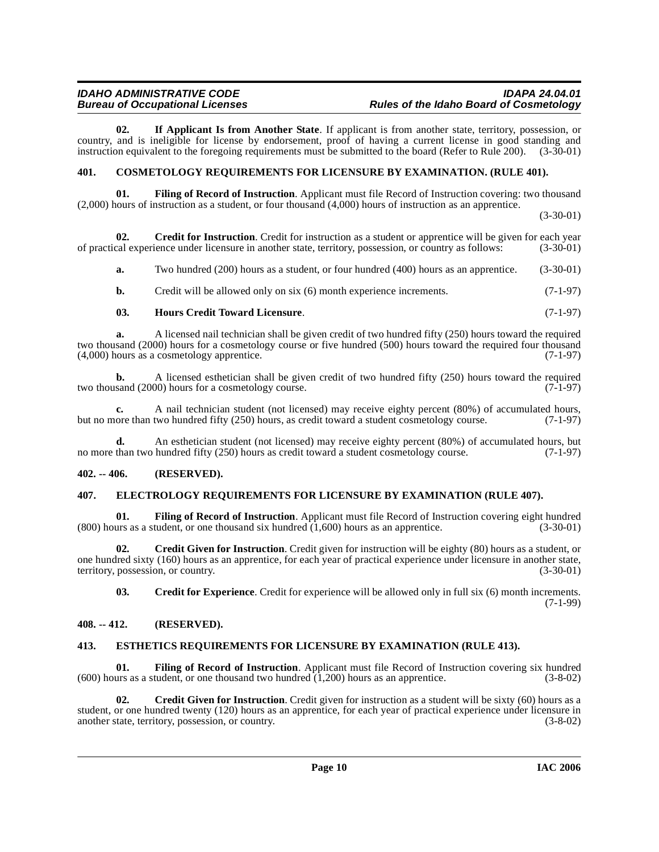<span id="page-9-16"></span>**02. If Applicant Is from Another State**. If applicant is from another state, territory, possession, or country, and is ineligible for license by endorsement, proof of having a current license in good standing and instruction equivalent to the foregoing requirements must be submitted to the board (Refer to Rule 200). (3-30-01)

#### <span id="page-9-5"></span><span id="page-9-0"></span>**401. COSMETOLOGY REQUIREMENTS FOR LICENSURE BY EXAMINATION. (RULE 401).**

<span id="page-9-12"></span>**01. Filing of Record of Instruction**. Applicant must file Record of Instruction covering: two thousand (2,000) hours of instruction as a student, or four thousand (4,000) hours of instruction as an apprentice.

(3-30-01)

**02.** Credit for Instruction. Credit for instruction as a student or apprentice will be given for each year cal experience under licensure in another state, territory, possession, or country as follows: (3-30-01) of practical experience under licensure in another state, territory, possession, or country as follows:

<span id="page-9-9"></span>**a.** Two hundred (200) hours as a student, or four hundred (400) hours as an apprentice. (3-30-01)

**b.** Credit will be allowed only on six (6) month experience increments. (7-1-97)

#### <span id="page-9-15"></span>**03. Hours Credit Toward Licensure**. (7-1-97)

**a.** A licensed nail technician shall be given credit of two hundred fifty (250) hours toward the required two thousand (2000) hours for a cosmetology course or five hundred (500) hours toward the required four thousand (4.000) hours as a cosmetology apprentice.  $(7-1-97)$  $(4,000)$  hours as a cosmetology apprentice.

**b.** A licensed esthetician shall be given credit of two hundred fifty (250) hours toward the required two thousand (2000) hours for a cosmetology course. (7-1-97)

**c.** A nail technician student (not licensed) may receive eighty percent (80%) of accumulated hours, ore than two hundred fifty (250) hours, as credit toward a student cosmetology course. (7-1-97) but no more than two hundred fifty (250) hours, as credit toward a student cosmetology course.

**d.** An esthetician student (not licensed) may receive eighty percent (80%) of accumulated hours, but than two hundred fifty (250) hours as credit toward a student cosmetology course. (7-1-97) no more than two hundred fifty (250) hours as credit toward a student cosmetology course.

#### <span id="page-9-1"></span>**402. -- 406. (RESERVED).**

#### <span id="page-9-10"></span><span id="page-9-2"></span>**407. ELECTROLOGY REQUIREMENTS FOR LICENSURE BY EXAMINATION (RULE 407).**

<span id="page-9-13"></span>**Filing of Record of Instruction**. Applicant must file Record of Instruction covering eight hundred (udent, or one thousand six hundred (1,600) hours as an apprentice. (3-30-01)  $(800)$  hours as a student, or one thousand six hundred  $(1,600)$  hours as an apprentice.

**02. Credit Given for Instruction**. Credit given for instruction will be eighty (80) hours as a student, or one hundred sixty (160) hours as an apprentice, for each year of practical experience under licensure in another state, territory, possession, or country. (3-30-01) territory, possession, or country.

<span id="page-9-14"></span><span id="page-9-8"></span><span id="page-9-6"></span>**03. Credit for Experience**. Credit for experience will be allowed only in full six (6) month increments. (7-1-99)

#### <span id="page-9-3"></span>**408. -- 412. (RESERVED).**

#### <span id="page-9-11"></span><span id="page-9-4"></span>**413. ESTHETICS REQUIREMENTS FOR LICENSURE BY EXAMINATION (RULE 413).**

**01. Filing of Record of Instruction**. Applicant must file Record of Instruction covering six hundred (600) hours as a student, or one thousand two hundred (1,200) hours as an apprentice. (3-8-02)

<span id="page-9-7"></span>**02.** Credit Given for Instruction. Credit given for instruction as a student will be sixty (60) hours as a student, or one hundred twenty (120) hours as an apprentice, for each year of practical experience under licensure in another state, territory, possession, or country. (3-8-02) another state, territory, possession, or country.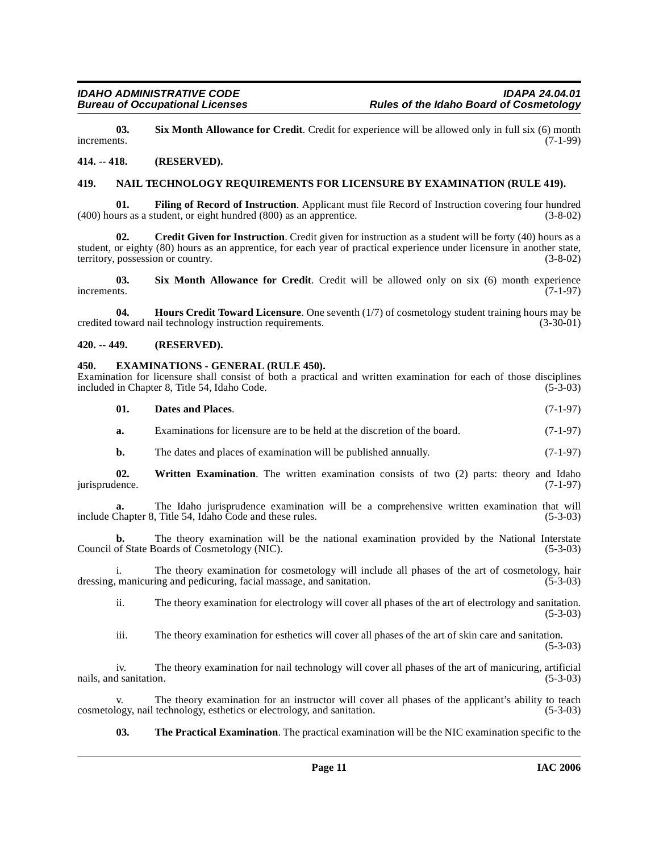<span id="page-10-10"></span>**03.** Six Month Allowance for Credit. Credit for experience will be allowed only in full six (6) month increments. (7-1-99) increments.  $(7-1-99)$ 

#### <span id="page-10-0"></span>**414. -- 418. (RESERVED).**

#### <span id="page-10-9"></span><span id="page-10-1"></span>**419. NAIL TECHNOLOGY REQUIREMENTS FOR LICENSURE BY EXAMINATION (RULE 419).**

<span id="page-10-7"></span>**01. Filing of Record of Instruction**. Applicant must file Record of Instruction covering four hundred (400) hours as a student, or eight hundred (800) as an apprentice. (3-8-02)

<span id="page-10-4"></span>**02. Credit Given for Instruction**. Credit given for instruction as a student will be forty (40) hours as a student, or eighty (80) hours as an apprentice, for each year of practical experience under licensure in another state, territory, possession or country. (3-8-02) territory, possession or country.

<span id="page-10-11"></span>**03.** Six Month Allowance for Credit. Credit will be allowed only on six (6) month experience increments. (7-1-97) increments. (7-1-97)

<span id="page-10-8"></span>**04. Hours Credit Toward Licensure**. One seventh (1/7) of cosmetology student training hours may be credited toward nail technology instruction requirements. (3-30-01)

#### <span id="page-10-2"></span>**420. -- 449. (RESERVED).**

#### <span id="page-10-6"></span><span id="page-10-3"></span>**450. EXAMINATIONS - GENERAL (RULE 450).**

<span id="page-10-12"></span><span id="page-10-5"></span>

|                       | Examination for licensure shall consist of both a practical and written examination for each of those disciplines<br>included in Chapter 8, Title 54, Idaho Code.      | $(5-3-03)$ |
|-----------------------|------------------------------------------------------------------------------------------------------------------------------------------------------------------------|------------|
| 01.                   | Dates and Places.                                                                                                                                                      | $(7-1-97)$ |
| a.                    | Examinations for licensure are to be held at the discretion of the board.                                                                                              | $(7-1-97)$ |
| b.                    | The dates and places of examination will be published annually.                                                                                                        | $(7-1-97)$ |
| 02.<br>jurisprudence. | <b>Written Examination.</b> The written examination consists of two (2) parts: theory and Idaho                                                                        | $(7-1-97)$ |
| a.                    | The Idaho jurisprudence examination will be a comprehensive written examination that will<br>include Chapter 8, Title 54, Idaho Code and these rules.                  | $(5-3-03)$ |
| b.                    | The theory examination will be the national examination provided by the National Interstate<br>Council of State Boards of Cosmetology (NIC).                           | $(5-3-03)$ |
| i.                    | The theory examination for cosmetology will include all phases of the art of cosmetology, hair<br>dressing, manicuring and pedicuring, facial massage, and sanitation. | $(5-3-03)$ |
| ii.                   | The theory examination for electrology will cover all phases of the art of electrology and sanitation.                                                                 | $(5-3-03)$ |
| <b>A 4 4</b>          | The theory exemination for estheties will cover all phases of the ert of skip ears and senitation                                                                      |            |

iii. The theory examination for esthetics will cover all phases of the art of skin care and sanitation. (5-3-03)

iv. The theory examination for nail technology will cover all phases of the art of manicuring, artificial nails, and sanitation. (5-3-03)

v. The theory examination for an instructor will cover all phases of the applicant's ability to teach logy, nail technology, esthetics or electrology, and sanitation. (5-3-03) cosmetology, nail technology, esthetics or electrology, and sanitation.

**03. The Practical Examination**. The practical examination will be the NIC examination specific to the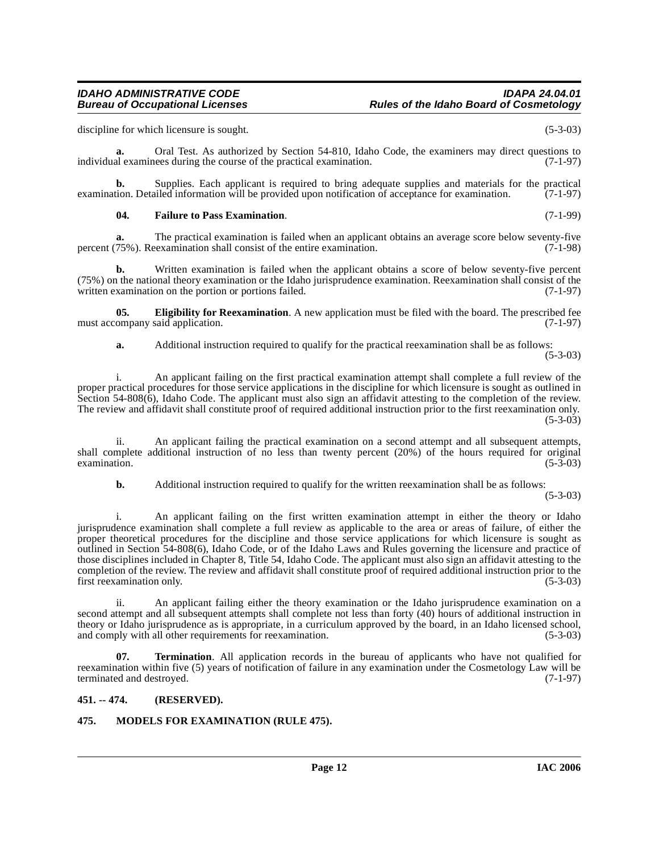discipline for which licensure is sought. (5-3-03)

**a.** Oral Test. As authorized by Section 54-810, Idaho Code, the examiners may direct questions to individual examinees during the course of the practical examination. (7-1-97)

**b.** Supplies. Each applicant is required to bring adequate supplies and materials for the practical tion. Detailed information will be provided upon notification of acceptance for examination. (7-1-97) examination. Detailed information will be provided upon notification of acceptance for examination.

#### <span id="page-11-3"></span>**04. Failure to Pass Examination**. (7-1-99)

**a.** The practical examination is failed when an applicant obtains an average score below seventy-five 75%). Reexamination shall consist of the entire examination. (7-1-98) percent (75%). Reexamination shall consist of the entire examination.

**b.** Written examination is failed when the applicant obtains a score of below seventy-five percent (75%) on the national theory examination or the Idaho jurisprudence examination. Reexamination shall consist of the written examination on the portion or portions failed. (7-1-97)

**05. Eligibility for Reexamination**. A new application must be filed with the board. The prescribed fee must accompany said application. (7-1-97)

<span id="page-11-2"></span>**a.** Additional instruction required to qualify for the practical reexamination shall be as follows: (5-3-03)

i. An applicant failing on the first practical examination attempt shall complete a full review of the proper practical procedures for those service applications in the discipline for which licensure is sought as outlined in Section 54-808(6), Idaho Code. The applicant must also sign an affidavit attesting to the completion of the review. The review and affidavit shall constitute proof of required additional instruction prior to the first reexamination only.  $(5-3-03)$ 

ii. An applicant failing the practical examination on a second attempt and all subsequent attempts, shall complete additional instruction of no less than twenty percent (20%) of the hours required for original examination. (5-3-03)  $\alpha$  examination. (5-3-03)

**b.** Additional instruction required to qualify for the written reexamination shall be as follows:

(5-3-03)

i. An applicant failing on the first written examination attempt in either the theory or Idaho jurisprudence examination shall complete a full review as applicable to the area or areas of failure, of either the proper theoretical procedures for the discipline and those service applications for which licensure is sought as outlined in Section 54-808(6), Idaho Code, or of the Idaho Laws and Rules governing the licensure and practice of those disciplines included in Chapter 8, Title 54, Idaho Code. The applicant must also sign an affidavit attesting to the completion of the review. The review and affidavit shall constitute proof of required additional instruction prior to the first reexamination only. (5-3-03) first reexamination only.

ii. An applicant failing either the theory examination or the Idaho jurisprudence examination on a second attempt and all subsequent attempts shall complete not less than forty (40) hours of additional instruction in theory or Idaho jurisprudence as is appropriate, in a curriculum approved by the board, in an Idaho licensed school, and comply with all other requirements for reexamination. (5-3-03)

<span id="page-11-5"></span>**07. Termination**. All application records in the bureau of applicants who have not qualified for reexamination within five (5) years of notification of failure in any examination under the Cosmetology Law will be terminated and destroyed. (7-1-97)

#### <span id="page-11-0"></span>**451. -- 474. (RESERVED).**

### <span id="page-11-4"></span><span id="page-11-1"></span>**475. MODELS FOR EXAMINATION (RULE 475).**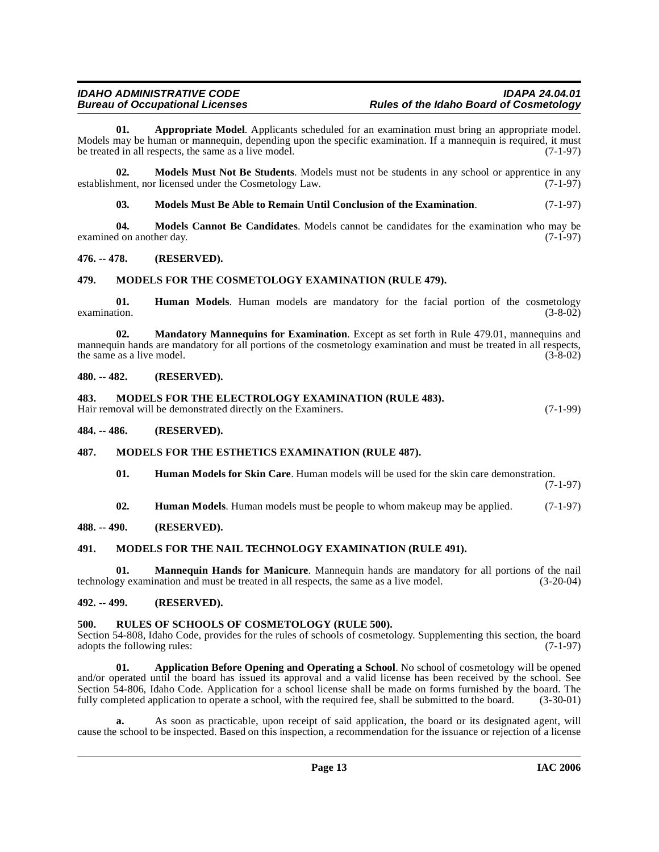<span id="page-12-11"></span>**01. Appropriate Model**. Applicants scheduled for an examination must bring an appropriate model. Models may be human or mannequin, depending upon the specific examination. If a mannequin is required, it must<br>be treated in all respects, the same as a live model. (7-1-97) be treated in all respects, the same as a live model.

**02. Models Must Not Be Students**. Models must not be students in any school or apprentice in any ment, nor licensed under the Cosmetology Law. (7-1-97) establishment, nor licensed under the Cosmetology Law.

<span id="page-12-20"></span><span id="page-12-19"></span><span id="page-12-14"></span>**03. Models Must Be Able to Remain Until Conclusion of the Examination**. (7-1-97)

**04.** Models Cannot Be Candidates. Models cannot be candidates for the examination who may be don another day. (7-1-97) examined on another day.

#### <span id="page-12-0"></span>**476. -- 478. (RESERVED).**

#### <span id="page-12-15"></span><span id="page-12-1"></span>**479. MODELS FOR THE COSMETOLOGY EXAMINATION (RULE 479).**

**01. Human Models**. Human models are mandatory for the facial portion of the cosmetology examination. (3-8-02) examination. (3-8-02)

**02. Mandatory Mannequins for Examination**. Except as set forth in Rule 479.01, mannequins and mannequin hands are mandatory for all portions of the cosmetology examination and must be treated in all respects, the same as a live model. (3-8-02) the same as a live model.

#### <span id="page-12-2"></span>**480. -- 482. (RESERVED).**

#### <span id="page-12-16"></span><span id="page-12-3"></span>**483. MODELS FOR THE ELECTROLOGY EXAMINATION (RULE 483).**

Hair removal will be demonstrated directly on the Examiners. (7-1-99)

<span id="page-12-4"></span>**484. -- 486. (RESERVED).**

#### <span id="page-12-5"></span>**487. MODELS FOR THE ESTHETICS EXAMINATION (RULE 487).**

<span id="page-12-17"></span><span id="page-12-12"></span>**01. Human Models for Skin Care**. Human models will be used for the skin care demonstration.

(7-1-97)

<span id="page-12-18"></span><span id="page-12-13"></span>**02. Human Models**. Human models must be people to whom makeup may be applied. (7-1-97)

#### <span id="page-12-6"></span>**488. -- 490. (RESERVED).**

### <span id="page-12-7"></span>**491. MODELS FOR THE NAIL TECHNOLOGY EXAMINATION (RULE 491).**

**01. Mannequin Hands for Manicure**. Mannequin hands are mandatory for all portions of the nail technology examination and must be treated in all respects, the same as a live model. (3-20-04)

#### <span id="page-12-8"></span>**492. -- 499. (RESERVED).**

#### <span id="page-12-21"></span><span id="page-12-9"></span>**500. RULES OF SCHOOLS OF COSMETOLOGY (RULE 500).**

Section 54-808, Idaho Code, provides for the rules of schools of cosmetology. Supplementing this section, the board adopts the following rules: (7-1-97) adopts the following rules:

<span id="page-12-10"></span>**01. Application Before Opening and Operating a School**. No school of cosmetology will be opened and/or operated until the board has issued its approval and a valid license has been received by the school. See Section 54-806, Idaho Code. Application for a school license shall be made on forms furnished by the board. The fully completed application to operate a school, with the required fee, shall be submitted to the board.  $(3$ fully completed application to operate a school, with the required fee, shall be submitted to the board.

**a.** As soon as practicable, upon receipt of said application, the board or its designated agent, will cause the school to be inspected. Based on this inspection, a recommendation for the issuance or rejection of a license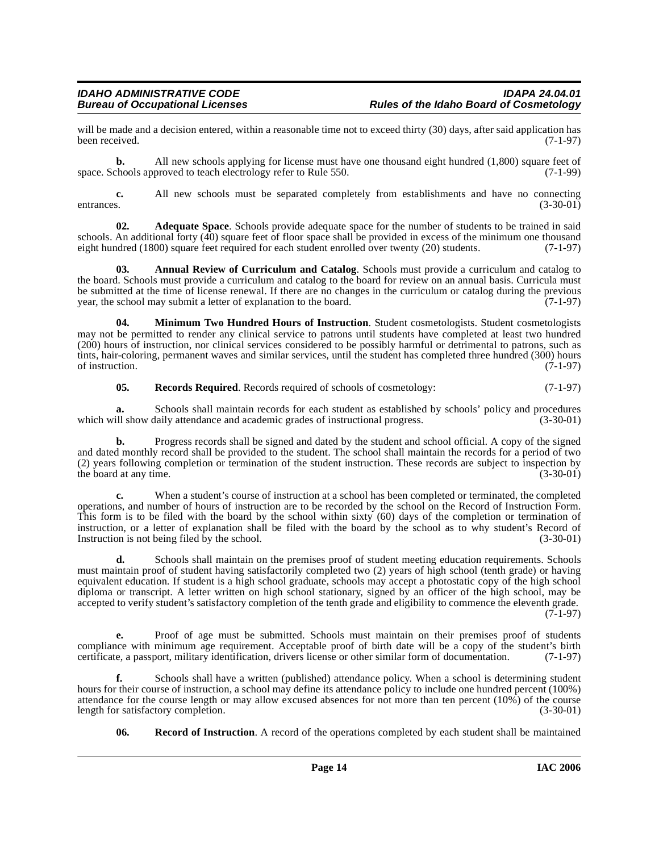will be made and a decision entered, within a reasonable time not to exceed thirty (30) days, after said application has been received. (7-1-97) been received. (7-1-97)

**b.** All new schools applying for license must have one thousand eight hundred (1,800) square feet of space. Schools approved to teach electrology refer to Rule 550. (7-1-99)

**c.** All new schools must be separated completely from establishments and have no connecting s. entrances. (3-30-01)

<span id="page-13-0"></span>**02. Adequate Space**. Schools provide adequate space for the number of students to be trained in said schools. An additional forty (40) square feet of floor space shall be provided in excess of the minimum one thousand eight hundred (1800) square feet required for each student enrolled over twenty (20) students. (7-1-97) eight hundred (1800) square feet required for each student enrolled over twenty (20) students.

<span id="page-13-1"></span>**03. Annual Review of Curriculum and Catalog**. Schools must provide a curriculum and catalog to the board. Schools must provide a curriculum and catalog to the board for review on an annual basis. Curricula must be submitted at the time of license renewal. If there are no changes in the curriculum or catalog during the previous year, the school may submit a letter of explanation to the board. (7-1-97) year, the school may submit a letter of explanation to the board.

<span id="page-13-2"></span>**04. Minimum Two Hundred Hours of Instruction**. Student cosmetologists. Student cosmetologists may not be permitted to render any clinical service to patrons until students have completed at least two hundred (200) hours of instruction, nor clinical services considered to be possibly harmful or detrimental to patrons, such as tints, hair-coloring, permanent waves and similar services, until the student has completed three hundred (300) hours of instruction. (7-1-97) of instruction.

<span id="page-13-4"></span>**05. Records Required**. Records required of schools of cosmetology: (7-1-97)

**a.** Schools shall maintain records for each student as established by schools' policy and procedures ill show daily attendance and academic grades of instructional progress. (3-30-01) which will show daily attendance and academic grades of instructional progress.

**b.** Progress records shall be signed and dated by the student and school official. A copy of the signed and dated monthly record shall be provided to the student. The school shall maintain the records for a period of two (2) years following completion or termination of the student instruction. These records are subject to inspection by the board at any time.

**c.** When a student's course of instruction at a school has been completed or terminated, the completed operations, and number of hours of instruction are to be recorded by the school on the Record of Instruction Form. This form is to be filed with the board by the school within sixty (60) days of the completion or termination of instruction, or a letter of explanation shall be filed with the board by the school as to why student's Record of Instruction is not being filed by the school. (3-30-01)

**d.** Schools shall maintain on the premises proof of student meeting education requirements. Schools must maintain proof of student having satisfactorily completed two (2) years of high school (tenth grade) or having equivalent education. If student is a high school graduate, schools may accept a photostatic copy of the high school diploma or transcript. A letter written on high school stationary, signed by an officer of the high school, may be accepted to verify student's satisfactory completion of the tenth grade and eligibility to commence the eleventh grade.  $(7-1-97)$ 

**e.** Proof of age must be submitted. Schools must maintain on their premises proof of students compliance with minimum age requirement. Acceptable proof of birth date will be a copy of the student's birth certificate, a passport, military identification, drivers license or other similar form of documentation. (7-1-9 certificate, a passport, military identification, drivers license or other similar form of documentation.

**f.** Schools shall have a written (published) attendance policy. When a school is determining student hours for their course of instruction, a school may define its attendance policy to include one hundred percent (100%) attendance for the course length or may allow excused absences for not more than ten percent (10%) of the course<br>length for satisfactory completion. (3-30-01) length for satisfactory completion.

<span id="page-13-3"></span>**06. Record of Instruction**. A record of the operations completed by each student shall be maintained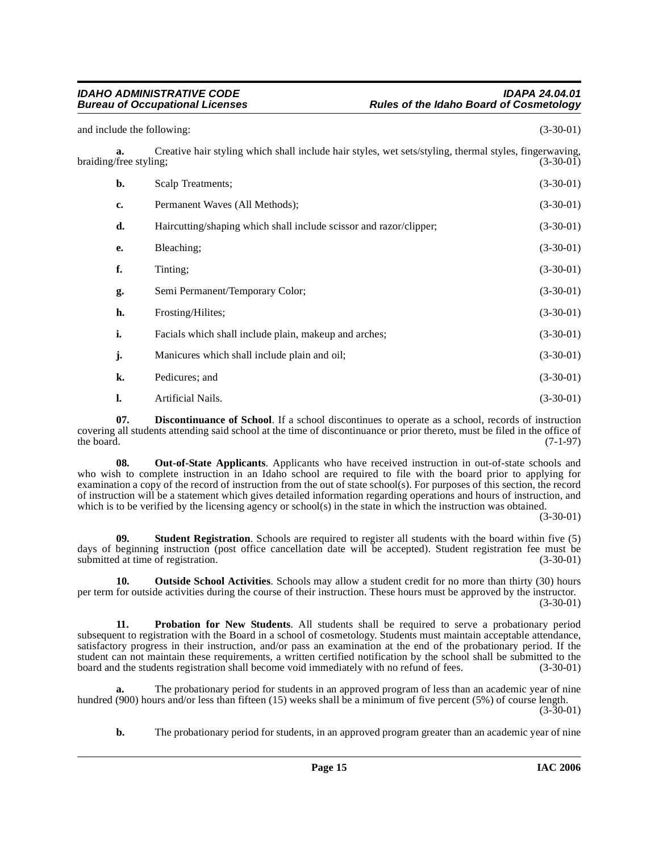and include the following: (3-30-01)  $(3-30-01)$ 

**a.** Creative hair styling which shall include hair styles, wet sets/styling, thermal styles, fingerwaving, (free styling: (3-30-01) braiding/free styling;

| b. | Scalp Treatments;                                                  | $(3-30-01)$ |
|----|--------------------------------------------------------------------|-------------|
| c. | Permanent Waves (All Methods);                                     | $(3-30-01)$ |
| d. | Haircutting/shaping which shall include scissor and razor/clipper; | $(3-30-01)$ |
| e. | Bleaching;                                                         | $(3-30-01)$ |
| f. | Tinting;                                                           | $(3-30-01)$ |
| g. | Semi Permanent/Temporary Color;                                    | $(3-30-01)$ |
| h. | Frosting/Hilites;                                                  | $(3-30-01)$ |
| i. | Facials which shall include plain, makeup and arches;              | $(3-30-01)$ |
| j. | Manicures which shall include plain and oil;                       | $(3-30-01)$ |
| k. | Pedicures; and                                                     | $(3-30-01)$ |
| 1. | Artificial Nails.                                                  | $(3-30-01)$ |

<span id="page-14-0"></span>**07. Discontinuance of School**. If a school discontinues to operate as a school, records of instruction covering all students attending said school at the time of discontinuance or prior thereto, must be filed in the office of the board. (7-1-97) the board.  $(7-1-97)$ 

<span id="page-14-1"></span>**08. Out-of-State Applicants**. Applicants who have received instruction in out-of-state schools and who wish to complete instruction in an Idaho school are required to file with the board prior to applying for examination a copy of the record of instruction from the out of state school(s). For purposes of this section, the record of instruction will be a statement which gives detailed information regarding operations and hours of instruction, and which is to be verified by the licensing agency or school(s) in the state in which the instruction was obtained.

(3-30-01)

<span id="page-14-3"></span>**09. Student Registration**. Schools are required to register all students with the board within five (5) days of beginning instruction (post office cancellation date will be accepted). Student registration fee must be submitted at time of registration. (3-30-01)

<span id="page-14-2"></span>**10. Outside School Activities**. Schools may allow a student credit for no more than thirty (30) hours per term for outside activities during the course of their instruction. These hours must be approved by the instructor. (3-30-01)

**11. Probation for New Students**. All students shall be required to serve a probationary period subsequent to registration with the Board in a school of cosmetology. Students must maintain acceptable attendance, satisfactory progress in their instruction, and/or pass an examination at the end of the probationary period. If the student can not maintain these requirements, a written certified notification by the school shall be submitted to the board and the students registration shall become void immediately with no refund of fees. (3-30-01) board and the students registration shall become void immediately with no refund of fees.

**a.** The probationary period for students in an approved program of less than an academic year of nine hundred (900) hours and/or less than fifteen (15) weeks shall be a minimum of five percent (5%) of course length.  $(3-30-01)$ 

**b.** The probationary period for students, in an approved program greater than an academic year of nine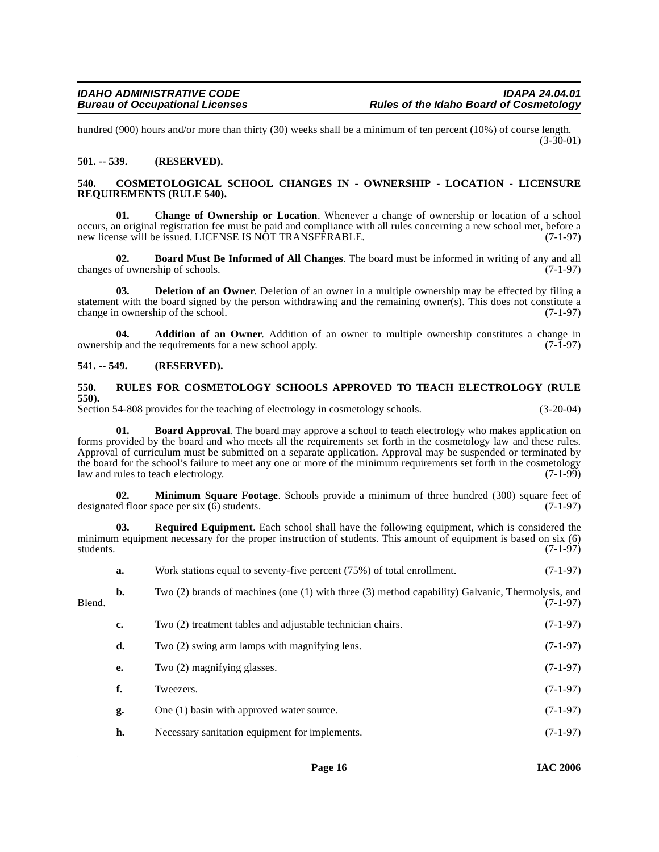hundred (900) hours and/or more than thirty (30) weeks shall be a minimum of ten percent (10%) of course length.  $(3-30-01)$ 

#### <span id="page-15-0"></span>**501. -- 539. (RESERVED).**

#### <span id="page-15-8"></span><span id="page-15-1"></span>**540. COSMETOLOGICAL SCHOOL CHANGES IN - OWNERSHIP - LOCATION - LICENSURE REQUIREMENTS (RULE 540).**

<span id="page-15-7"></span>**01. Change of Ownership or Location**. Whenever a change of ownership or location of a school occurs, an original registration fee must be paid and compliance with all rules concerning a new school met, before a new license will be issued. LICENSE IS NOT TRANSFERABLE. (7-1-97)

<span id="page-15-6"></span>**02. Board Must Be Informed of All Changes**. The board must be informed in writing of any and all changes of ownership of schools. (7-1-97)

<span id="page-15-9"></span>**03. Deletion of an Owner**. Deletion of an owner in a multiple ownership may be effected by filing a statement with the board signed by the person withdrawing and the remaining owner(s). This does not constitute a change in ownership of the school.  $(7-1-97)$ change in ownership of the school.

<span id="page-15-4"></span>**04. Addition of an Owner**. Addition of an owner to multiple ownership constitutes a change in ownership and the requirements for a new school apply. (7-1-97)

#### <span id="page-15-2"></span>**541. -- 549. (RESERVED).**

#### <span id="page-15-12"></span><span id="page-15-3"></span>**550. RULES FOR COSMETOLOGY SCHOOLS APPROVED TO TEACH ELECTROLOGY (RULE 550).**

Section 54-808 provides for the teaching of electrology in cosmetology schools. (3-20-04)

<span id="page-15-5"></span>**Board Approval**. The board may approve a school to teach electrology who makes application on forms provided by the board and who meets all the requirements set forth in the cosmetology law and these rules. Approval of curriculum must be submitted on a separate application. Approval may be suspended or terminated by the board for the school's failure to meet any one or more of the minimum requirements set forth in the cosmetology<br>(7-1-99) law and rules to teach electrology. law and rules to teach electrology.

<span id="page-15-10"></span>**02. Minimum Square Footage**. Schools provide a minimum of three hundred (300) square feet of ed floor space per six (6) students. designated floor space per six  $(6)$  students.

<span id="page-15-11"></span>**03. Required Equipment**. Each school shall have the following equipment, which is considered the minimum equipment necessary for the proper instruction of students. This amount of equipment is based on six (6) students. (7-1-97) students. (7-1-97)

|        | a.             | Work stations equal to seventy-five percent (75%) of total enrollment.                           | $(7-1-97)$ |
|--------|----------------|--------------------------------------------------------------------------------------------------|------------|
| Blend. | $\mathbf{b}$ . | Two (2) brands of machines (one (1) with three (3) method capability) Galvanic, Thermolysis, and | $(7-1-97)$ |
|        | c.             | Two (2) treatment tables and adjustable technician chairs.                                       | $(7-1-97)$ |
|        | d.             | Two (2) swing arm lamps with magnifying lens.                                                    | $(7-1-97)$ |
|        | е.             | Two (2) magnifying glasses.                                                                      | $(7-1-97)$ |
|        | f.             | Tweezers.                                                                                        | $(7-1-97)$ |
|        | g.             | One (1) basin with approved water source.                                                        | $(7-1-97)$ |
|        | h.             | Necessary sanitation equipment for implements.                                                   | $(7-1-97)$ |
|        |                |                                                                                                  |            |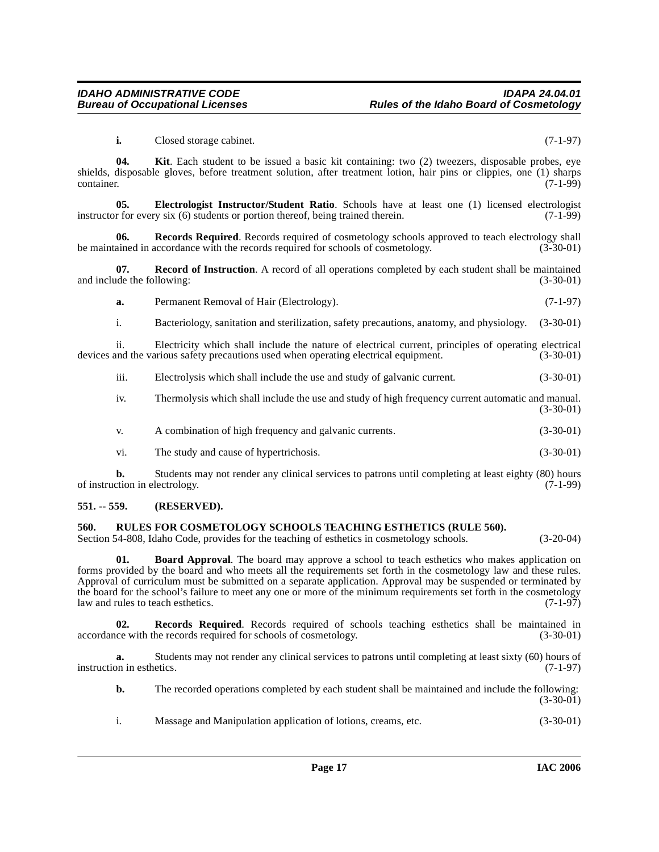<span id="page-16-4"></span><span id="page-16-3"></span>**i.** Closed storage cabinet. (7-1-97)

**04. Kit**. Each student to be issued a basic kit containing: two (2) tweezers, disposable probes, eye shields, disposable gloves, before treatment solution, after treatment lotion, hair pins or clippies, one (1) sharps container. (7-1-99) container. (7-1-99)

**05. Electrologist Instructor/Student Ratio**. Schools have at least one (1) licensed electrologist r for every six (6) students or portion thereof, being trained therein. (7-1-99) instructor for every six  $(6)$  students or portion thereof, being trained therein.

<span id="page-16-6"></span>**06.** Records Required. Records required of cosmetology schools approved to teach electrology shall ained in accordance with the records required for schools of cosmetology. (3-30-01) be maintained in accordance with the records required for schools of cosmetology.

**07. Record of Instruction**. A record of all operations completed by each student shall be maintained and include the following: (3-30-01) (3-30-01)

<span id="page-16-5"></span>**a.** Permanent Removal of Hair (Electrology). (7-1-97)

i. Bacteriology, sanitation and sterilization, safety precautions, anatomy, and physiology. (3-30-01)

ii. Electricity which shall include the nature of electrical current, principles of operating electrical and the various safety precautions used when operating electrical equipment. (3-30-01) devices and the various safety precautions used when operating electrical equipment.

iii. Electrolysis which shall include the use and study of galvanic current. (3-30-01)

iv. Thermolysis which shall include the use and study of high frequency current automatic and manual. (3-30-01)

v. A combination of high frequency and galvanic currents. (3-30-01)

vi. The study and cause of hypertrichosis. (3-30-01)

**b.** Students may not render any clinical services to patrons until completing at least eighty (80) hours of instruction in electrology. (7-1-99)

#### <span id="page-16-0"></span>**551. -- 559. (RESERVED).**

#### <span id="page-16-8"></span><span id="page-16-1"></span>**560. RULES FOR COSMETOLOGY SCHOOLS TEACHING ESTHETICS (RULE 560).**

Section 54-808, Idaho Code, provides for the teaching of esthetics in cosmetology schools. (3-20-04)

<span id="page-16-2"></span>**01. Board Approval**. The board may approve a school to teach esthetics who makes application on forms provided by the board and who meets all the requirements set forth in the cosmetology law and these rules. Approval of curriculum must be submitted on a separate application. Approval may be suspended or terminated by the board for the school's failure to meet any one or more of the minimum requirements set forth in the cosmetology<br>law and rules to teach esthetics. (7-1-97) law and rules to teach esthetics.

<span id="page-16-7"></span>**02. Records Required**. Records required of schools teaching esthetics shall be maintained in accordance with the records required for schools of cosmetology. (3-30-01)

**a.** Students may not render any clinical services to patrons until completing at least sixty (60) hours of on in esthetics. (7-1-97) instruction in esthetics.

**b.** The recorded operations completed by each student shall be maintained and include the following: (3-30-01)

i. Massage and Manipulation application of lotions, creams, etc. (3-30-01)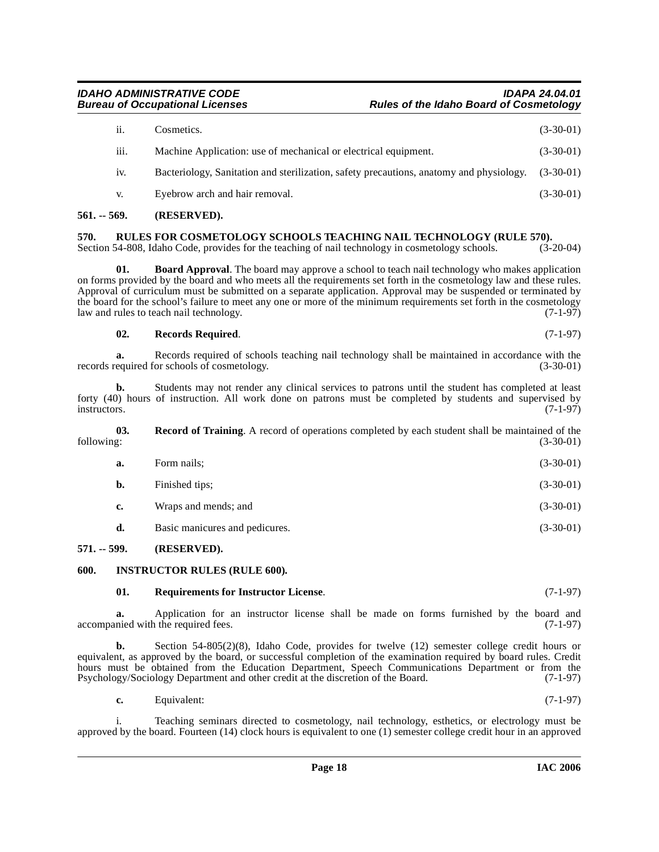## **IDAHO ADMINISTRATIVE CODE IDAPA 24.04.01**

## ii. Cosmetics.  $(3-30-01)$ iii. Machine Application: use of mechanical or electrical equipment. (3-30-01) iv. Bacteriology, Sanitation and sterilization, safety precautions, anatomy and physiology. (3-30-01) v. Eyebrow arch and hair removal. (3-30-01)

**Rules of the Idaho Board of Cosmetology** 

### <span id="page-17-0"></span>**561. -- 569. (RESERVED).**

## <span id="page-17-9"></span><span id="page-17-1"></span>**570.** RULES FOR COSMETOLOGY SCHOOLS TEACHING NAIL TECHNOLOGY (RULE 570). Section 54-808, Idaho Code, provides for the teaching of nail technology in cosmetology schools. (3-20-04)

Section 54-808, Idaho Code, provides for the teaching of nail technology in cosmetology schools.

<span id="page-17-4"></span>**01. Board Approval**. The board may approve a school to teach nail technology who makes application on forms provided by the board and who meets all the requirements set forth in the cosmetology law and these rules. Approval of curriculum must be submitted on a separate application. Approval may be suspended or terminated by the board for the school's failure to meet any one or more of the minimum requirements set forth in the cosmetology<br>law and rules to teach nail technology. (7-1-97) law and rules to teach nail technology.

#### <span id="page-17-7"></span>**02. Records Required**. (7-1-97)

**a.** Records required of schools teaching nail technology shall be maintained in accordance with the equired for schools of cosmetology. (3-30-01) records required for schools of cosmetology.

**b.** Students may not render any clinical services to patrons until the student has completed at least forty (40) hours of instruction. All work done on patrons must be completed by students and supervised by instructors. (7-1-97) instructors. (7-1-97)

**03.** Record of Training. A record of operations completed by each student shall be maintained of the following: (3-30-01) following: (3-30-01)

<span id="page-17-6"></span>

| а. | Form nails:          | $(3-30-01)$ |
|----|----------------------|-------------|
| b. | Finished tips;       | $(3-30-01)$ |
| c. | Wraps and mends; and | $(3-30-01)$ |

**d.** Basic manicures and pedicures. (3-30-01)

#### <span id="page-17-2"></span>**571. -- 599. (RESERVED).**

#### <span id="page-17-3"></span>**600. INSTRUCTOR RULES (RULE 600).**

#### <span id="page-17-8"></span><span id="page-17-5"></span>**01. Requirements for Instructor License**. (7-1-97)

**a.** Application for an instructor license shall be made on forms furnished by the board and accompanied with the required fees. (7-1-97)

**b.** Section 54-805(2)(8), Idaho Code, provides for twelve (12) semester college credit hours or equivalent, as approved by the board, or successful completion of the examination required by board rules. Credit hours must be obtained from the Education Department, Speech Communications Department or from the Psychology/Sociology Department and other credit at the discretion of the Board. (7-1-97)

| Equivalent:<br>$c_{\bullet}$ | $(7-1-97)$ |
|------------------------------|------------|
|------------------------------|------------|

i. Teaching seminars directed to cosmetology, nail technology, esthetics, or electrology must be approved by the board. Fourteen (14) clock hours is equivalent to one (1) semester college credit hour in an approved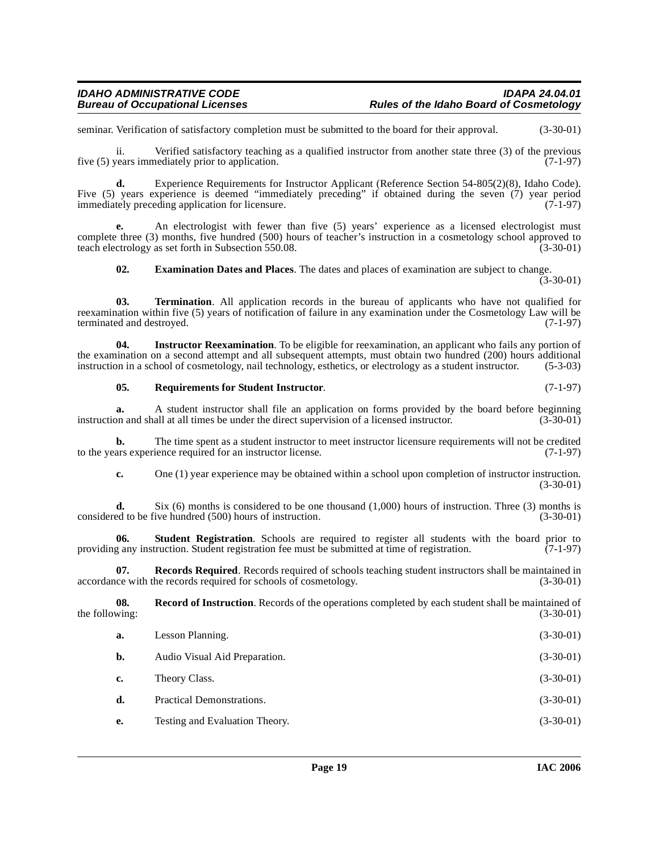seminar. Verification of satisfactory completion must be submitted to the board for their approval. (3-30-01)

ii. Verified satisfactory teaching as a qualified instructor from another state three (3) of the previous five (5) years immediately prior to application. (7-1-97)

**d.** Experience Requirements for Instructor Applicant (Reference Section 54-805(2)(8), Idaho Code). Five (5) years experience is deemed "immediately preceding" if obtained during the seven (7) year period immediately preceding application for licensure. (7-1-97)

**e.** An electrologist with fewer than five (5) years' experience as a licensed electrologist must complete three (3) months, five hundred (500) hours of teacher's instruction in a cosmetology school approved to teach electrology as set forth in Subsection 550.08. (3-30-01)

<span id="page-18-5"></span><span id="page-18-0"></span>**02. Examination Dates and Places**. The dates and places of examination are subject to change. (3-30-01)

**03. Termination**. All application records in the bureau of applicants who have not qualified for reexamination within five (5) years of notification of failure in any examination under the Cosmetology Law will be terminated and destroyed. (7-1-97)

**04. Instructor Reexamination**. To be eligible for reexamination, an applicant who fails any portion of the examination on a second attempt and all subsequent attempts, must obtain two hundred (200) hours additional<br>instruction in a school of cosmetology, nail technology, esthetics, or electrology as a student instructor. (5 instruction in a school of cosmetology, nail technology, esthetics, or electrology as a student instructor.

#### <span id="page-18-3"></span><span id="page-18-1"></span>**05.** Requirements for Student Instructor. (7-1-97)

**a.** A student instructor shall file an application on forms provided by the board before beginning on and shall at all times be under the direct supervision of a licensed instructor. (3-30-01) instruction and shall at all times be under the direct supervision of a licensed instructor.

**b.** The time spent as a student instructor to meet instructor licensure requirements will not be credited ars experience required for an instructor license. (7-1-97) to the years experience required for an instructor license.

<span id="page-18-4"></span>**c.** One (1) year experience may be obtained within a school upon completion of instructor instruction. (3-30-01)

**d.** Six (6) months is considered to be one thousand  $(1,000)$  hours of instruction. Three (3) months is ed to be five hundred (500) hours of instruction. considered to be five hundred (500) hours of instruction.

**06.** Student Registration. Schools are required to register all students with the board prior to g any instruction. Student registration fee must be submitted at time of registration. (7-1-97) providing any instruction. Student registration fee must be submitted at time of registration.

**07. Records Required**. Records required of schools teaching student instructors shall be maintained in accordance with the records required for schools of cosmetology. (3-30-01)

**08.** Record of Instruction. Records of the operations completed by each student shall be maintained of wing:<br>(3-30-01) the following:

<span id="page-18-2"></span>

| a. | Lesson Planning.               | $(3-30-01)$ |
|----|--------------------------------|-------------|
| b. | Audio Visual Aid Preparation.  | $(3-30-01)$ |
| c. | Theory Class.                  | $(3-30-01)$ |
| d. | Practical Demonstrations.      | $(3-30-01)$ |
| e. | Testing and Evaluation Theory. | $(3-30-01)$ |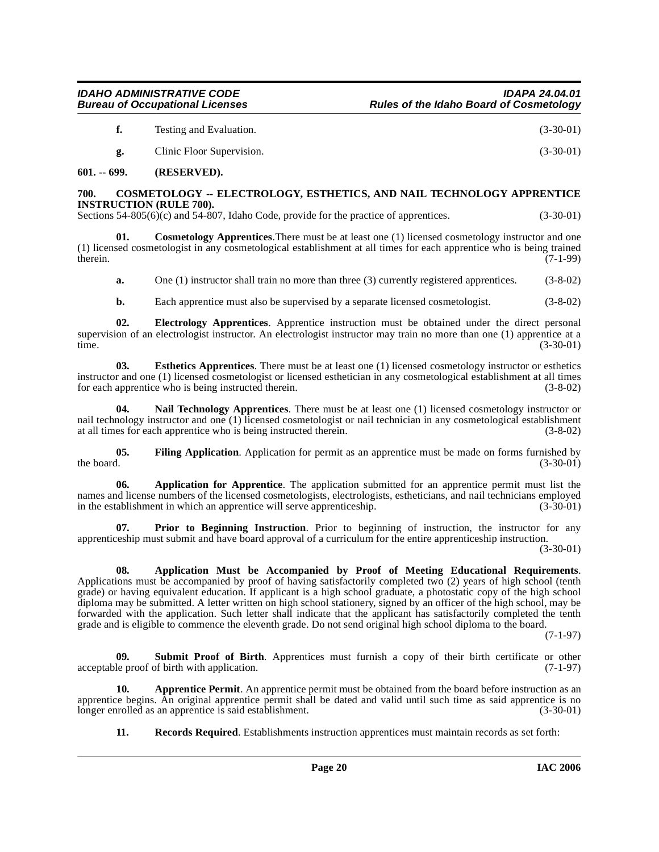**03. Esthetics Apprentices**. There must be at least one (1) licensed cosmetology instructor or esthetics instructor and one (1) licensed cosmetologist or licensed esthetician in any cosmetological establishment at all times for each apprentice who is being instructed therein. (3-8-02) for each apprentice who is being instructed therein.

<span id="page-19-10"></span>Nail Technology Apprentices. There must be at least one (1) licensed cosmetology instructor or nail technology instructor and one (1) licensed cosmetologist or nail technician in any cosmetological establishment at all times for each apprentice who is being instructed therein. (3-8-02)

<span id="page-19-1"></span>**700. COSMETOLOGY -- ELECTROLOGY, ESTHETICS, AND NAIL TECHNOLOGY APPRENTICE** 

Sections 54-805(6)(c) and 54-807, Idaho Code, provide for the practice of apprentices. (3-30-01)

(1) licensed cosmetologist in any cosmetological establishment at all times for each apprentice who is being trained therein.  $(7-1-99)$ therein.  $(7-1-99)$ 

supervision of an electrologist instructor. An electrologist instructor may train no more than one (1) apprentice at a time. (3-30-01) time. (3-30-01)

<span id="page-19-6"></span>**01. Cosmetology Apprentices**.There must be at least one (1) licensed cosmetology instructor and one

**a.** One (1) instructor shall train no more than three (3) currently registered apprentices. (3-8-02) **b.** Each apprentice must also be supervised by a separate licensed cosmetologist. (3-8-02)

<span id="page-19-8"></span><span id="page-19-7"></span>**02. Electrology Apprentices**. Apprentice instruction must be obtained under the direct personal

<span id="page-19-9"></span>**05.** Filing Application. Application for permit as an apprentice must be made on forms furnished by the board.  $(3-30-01)$ the board.  $(3-30-01)$ 

<span id="page-19-3"></span>**06. Application for Apprentice**. The application submitted for an apprentice permit must list the names and license numbers of the licensed cosmetologists, electrologists, estheticians, and nail technicians employed<br>in the establishment in which an apprentice will serve apprenticeship. (3-30-01) in the establishment in which an apprentice will serve apprenticeship.

<span id="page-19-11"></span>**07. Prior to Beginning Instruction**. Prior to beginning of instruction, the instructor for any apprenticeship must submit and have board approval of a curriculum for the entire apprenticeship instruction. (3-30-01)

<span id="page-19-2"></span>**08. Application Must be Accompanied by Proof of Meeting Educational Requirements**. Applications must be accompanied by proof of having satisfactorily completed two (2) years of high school (tenth grade) or having equivalent education. If applicant is a high school graduate, a photostatic copy of the high school diploma may be submitted. A letter written on high school stationery, signed by an officer of the high school, may be forwarded with the application. Such letter shall indicate that the applicant has satisfactorily completed the tenth grade and is eligible to commence the eleventh grade. Do not send original high school diploma to the board.

(7-1-97)

<span id="page-19-12"></span>**09.** Submit Proof of Birth. Apprentices must furnish a copy of their birth certificate or other le proof of birth with application. (7-1-97) acceptable proof of birth with application.

**10. Apprentice Permit**. An apprentice permit must be obtained from the board before instruction as an apprentice begins. An original apprentice permit shall be dated and valid until such time as said apprentice is no longer enrolled as an apprentice is said establishment. (3-30-01) longer enrolled as an apprentice is said establishment.

<span id="page-19-4"></span>**11. Records Required**. Establishments instruction apprentices must maintain records as set forth:

## **IDAHO ADMINISTRATIVE CODE IDAPA 24.04.01**

<span id="page-19-0"></span>**601. -- 699. (RESERVED).**

**INSTRUCTION (RULE 700).** 

**f.** Testing and Evaluation. (3-30-01)

<span id="page-19-5"></span>**g.** Clinic Floor Supervision. (3-30-01)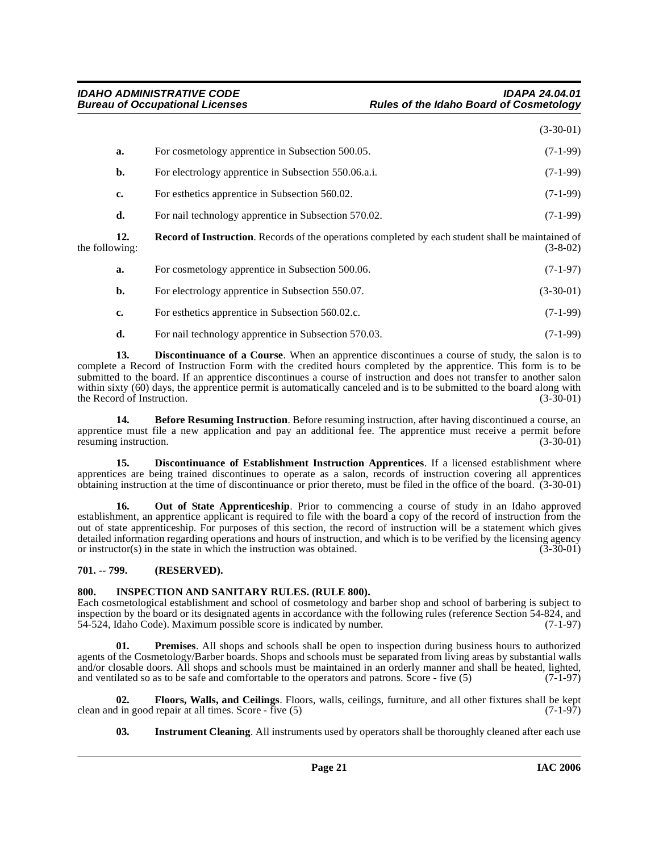|                |     |                                                                                                          | $(3-30-01)$ |
|----------------|-----|----------------------------------------------------------------------------------------------------------|-------------|
|                | a.  | For cosmetology apprentice in Subsection 500.05.                                                         | $(7-1-99)$  |
|                | b.  | For electrology apprentice in Subsection 550.06.a.i.                                                     | $(7-1-99)$  |
|                | c.  | For esthetics apprentice in Subsection 560.02.                                                           | $(7-1-99)$  |
|                | d.  | For nail technology apprentice in Subsection 570.02.                                                     | $(7-1-99)$  |
| the following: | 12. | <b>Record of Instruction.</b> Records of the operations completed by each student shall be maintained of | $(3-8-02)$  |
|                | a.  | For cosmetology apprentice in Subsection 500.06.                                                         | $(7-1-97)$  |
|                | b.  | For electrology apprentice in Subsection 550.07.                                                         | $(3-30-01)$ |
|                | c.  | For esthetics apprentice in Subsection 560.02.c.                                                         | $(7-1-99)$  |
|                |     |                                                                                                          |             |

<span id="page-20-10"></span><span id="page-20-4"></span>**d.** For nail technology apprentice in Subsection 570.03. (7-1-99)

**13. Discontinuance of a Course**. When an apprentice discontinues a course of study, the salon is to complete a Record of Instruction Form with the credited hours completed by the apprentice. This form is to be submitted to the board. If an apprentice discontinues a course of instruction and does not transfer to another salon within sixty (60) days, the apprentice permit is automatically canceled and is to be submitted to the board along with the Record of Instruction. (3-30-01) the Record of Instruction.

<span id="page-20-2"></span>**14. Before Resuming Instruction**. Before resuming instruction, after having discontinued a course, an apprentice must file a new application and pay an additional fee. The apprentice must receive a permit before resuming instruction. (3-30-01)

<span id="page-20-3"></span>**15. Discontinuance of Establishment Instruction Apprentices**. If a licensed establishment where apprentices are being trained discontinues to operate as a salon, records of instruction covering all apprentices obtaining instruction at the time of discontinuance or prior thereto, must be filed in the office of the board. (3-30-01)

<span id="page-20-8"></span>**16. Out of State Apprenticeship**. Prior to commencing a course of study in an Idaho approved establishment, an apprentice applicant is required to file with the board a copy of the record of instruction from the out of state apprenticeship. For purposes of this section, the record of instruction will be a statement which gives detailed information regarding operations and hours of instruction, and which is to be verified by the licensing agency<br>or instructor(s) in the state in which the instruction was obtained. (3-30-01) or instructor $(s)$  in the state in which the instruction was obtained.

#### <span id="page-20-0"></span>**701. -- 799. (RESERVED).**

### <span id="page-20-6"></span><span id="page-20-1"></span>**800. INSPECTION AND SANITARY RULES. (RULE 800).**

Each cosmetological establishment and school of cosmetology and barber shop and school of barbering is subject to inspection by the board or its designated agents in accordance with the following rules (reference Section 54-824, and 54-524, Idaho Code). Maximum possible score is indicated by number. (7-1-97)

<span id="page-20-9"></span>**01. Premises**. All shops and schools shall be open to inspection during business hours to authorized agents of the Cosmetology/Barber boards. Shops and schools must be separated from living areas by substantial walls and/or closable doors. All shops and schools must be maintained in an orderly manner and shall be heated, lighted, and ventilated so as to be safe and comfortable to the operators and patrons. Score - five (5) (7-1-97)

**02.** Floors, Walls, and Ceilings. Floors, walls, ceilings, furniture, and all other fixtures shall be kept in good repair at all times. Score - five (5) clean and in good repair at all times. Score - five  $(5)$ 

<span id="page-20-7"></span><span id="page-20-5"></span>**03.** Instrument Cleaning. All instruments used by operators shall be thoroughly cleaned after each use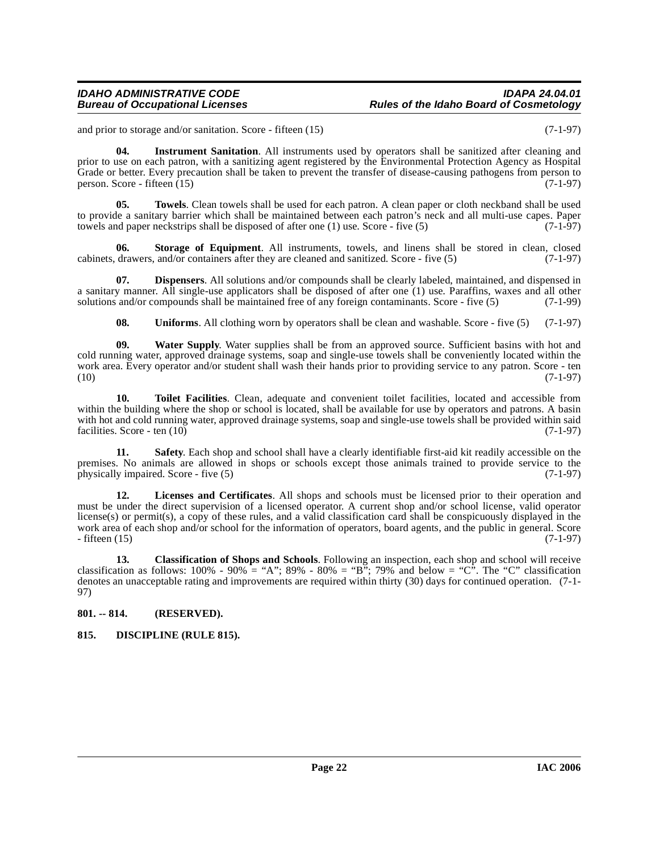#### **IDAHO ADMINISTRATIVE CODE IDAPA 24.04.01 Rules of the Idaho Board of Cosmetology**

<span id="page-21-5"></span>and prior to storage and/or sanitation. Score - fifteen (15) (7-1-97)

**04. Instrument Sanitation**. All instruments used by operators shall be sanitized after cleaning and prior to use on each patron, with a sanitizing agent registered by the Environmental Protection Agency as Hospital Grade or better. Every precaution shall be taken to prevent the transfer of disease-causing pathogens from person to person. Score - fifteen  $(15)$  (7-1-97)

<span id="page-21-10"></span>**05. Towels**. Clean towels shall be used for each patron. A clean paper or cloth neckband shall be used to provide a sanitary barrier which shall be maintained between each patron's neck and all multi-use capes. Paper towels and paper neckstrips shall be disposed of after one  $(1)$  use. Score - five  $(5)$  (7-1-97)

<span id="page-21-8"></span>**06.** Storage of Equipment. All instruments, towels, and linens shall be stored in clean, closed drawers, and/or containers after they are cleaned and sanitized. Score - five (5) (7-1-97) cabinets, drawers, and/or containers after they are cleaned and sanitized. Score - five (5)

**07. Dispensers**. All solutions and/or compounds shall be clearly labeled, maintained, and dispensed in a sanitary manner. All single-use applicators shall be disposed of after one (1) use. Paraffins, waxes and all other solutions and/or compounds shall be maintained free of any foreign contaminants. Score - five (5) (7-1-99 solutions and/or compounds shall be maintained free of any foreign contaminants. Score - five  $(5)$ 

<span id="page-21-12"></span><span id="page-21-11"></span><span id="page-21-9"></span><span id="page-21-4"></span>**08.** Uniforms. All clothing worn by operators shall be clean and washable. Score - five (5) (7-1-97)

**09. Water Supply**. Water supplies shall be from an approved source. Sufficient basins with hot and cold running water, approved drainage systems, soap and single-use towels shall be conveniently located within the work area. Every operator and/or student shall wash their hands prior to providing service to any patron. Score - ten (10) (7-1-97)  $(10)$   $(7-1-97)$ 

**10. Toilet Facilities**. Clean, adequate and convenient toilet facilities, located and accessible from within the building where the shop or school is located, shall be available for use by operators and patrons. A basin with hot and cold running water, approved drainage systems, soap and single-use towels shall be provided within said facilities. Score - ten  $(10)$  (7-1-97)

<span id="page-21-7"></span>**11. Safety**. Each shop and school shall have a clearly identifiable first-aid kit readily accessible on the premises. No animals are allowed in shops or schools except those animals trained to provide service to the physically impaired. Score - five (5) (7-1-97) physically impaired. Score - five (5)

<span id="page-21-6"></span>**12. Licenses and Certificates**. All shops and schools must be licensed prior to their operation and must be under the direct supervision of a licensed operator. A current shop and/or school license, valid operator license(s) or permit(s), a copy of these rules, and a valid classification card shall be conspicuously displayed in the work area of each shop and/or school for the information of operators, board agents, and the public in general. Score  $-$  fifteen (15) (7-1-97)

<span id="page-21-2"></span>**13. Classification of Shops and Schools**. Following an inspection, each shop and school will receive classification as follows:  $100\%$  -  $90\%$  = "A";  $89\%$  -  $80\%$  = "B"; 79% and below = "C". The "C" classification denotes an unacceptable rating and improvements are required within thirty (30) days for continued operation. (7-1- 97)

### <span id="page-21-0"></span>**801. -- 814. (RESERVED).**

### <span id="page-21-3"></span><span id="page-21-1"></span>**815. DISCIPLINE (RULE 815).**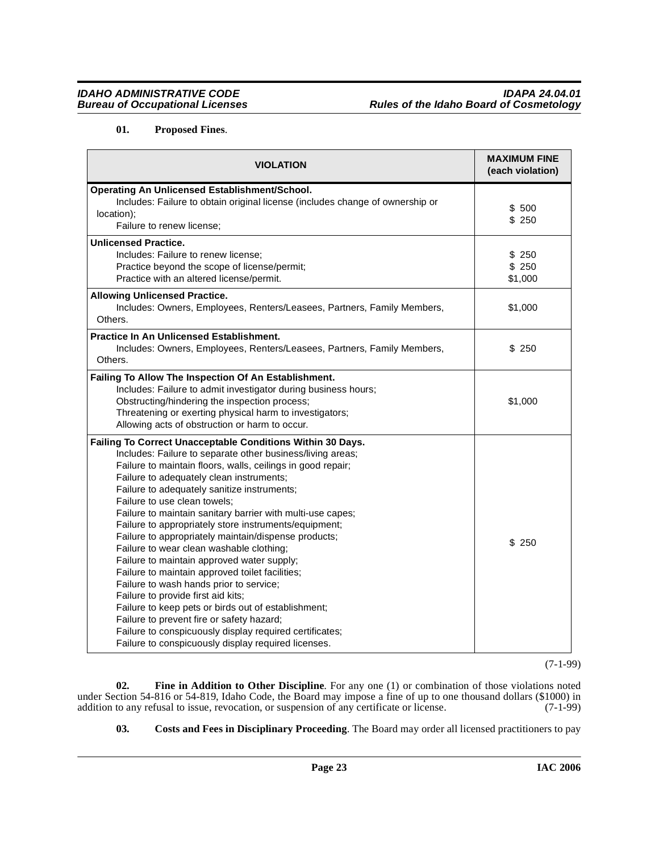## <span id="page-22-2"></span>**01. Proposed Fines**.

| <b>VIOLATION</b>                                                                                                                                                                                                                                                                                                                                                                                                                                                                                                                                                                                                                                                                                                                                                                                                                                                                                                                                      | <b>MAXIMUM FINE</b><br>(each violation) |
|-------------------------------------------------------------------------------------------------------------------------------------------------------------------------------------------------------------------------------------------------------------------------------------------------------------------------------------------------------------------------------------------------------------------------------------------------------------------------------------------------------------------------------------------------------------------------------------------------------------------------------------------------------------------------------------------------------------------------------------------------------------------------------------------------------------------------------------------------------------------------------------------------------------------------------------------------------|-----------------------------------------|
| Operating An Unlicensed Establishment/School.<br>Includes: Failure to obtain original license (includes change of ownership or<br>location);<br>Failure to renew license;                                                                                                                                                                                                                                                                                                                                                                                                                                                                                                                                                                                                                                                                                                                                                                             | \$500<br>\$250                          |
| <b>Unlicensed Practice.</b><br>Includes: Failure to renew license;<br>Practice beyond the scope of license/permit;<br>Practice with an altered license/permit.                                                                                                                                                                                                                                                                                                                                                                                                                                                                                                                                                                                                                                                                                                                                                                                        | \$ 250<br>\$250<br>\$1,000              |
| <b>Allowing Unlicensed Practice.</b><br>Includes: Owners, Employees, Renters/Leasees, Partners, Family Members,<br>Others.                                                                                                                                                                                                                                                                                                                                                                                                                                                                                                                                                                                                                                                                                                                                                                                                                            | \$1,000                                 |
| <b>Practice In An Unlicensed Establishment.</b><br>Includes: Owners, Employees, Renters/Leasees, Partners, Family Members,<br>Others.                                                                                                                                                                                                                                                                                                                                                                                                                                                                                                                                                                                                                                                                                                                                                                                                                 | \$250                                   |
| Failing To Allow The Inspection Of An Establishment.<br>Includes: Failure to admit investigator during business hours;<br>Obstructing/hindering the inspection process;<br>Threatening or exerting physical harm to investigators;<br>Allowing acts of obstruction or harm to occur.                                                                                                                                                                                                                                                                                                                                                                                                                                                                                                                                                                                                                                                                  | \$1,000                                 |
| Failing To Correct Unacceptable Conditions Within 30 Days.<br>Includes: Failure to separate other business/living areas;<br>Failure to maintain floors, walls, ceilings in good repair;<br>Failure to adequately clean instruments;<br>Failure to adequately sanitize instruments;<br>Failure to use clean towels;<br>Failure to maintain sanitary barrier with multi-use capes;<br>Failure to appropriately store instruments/equipment;<br>Failure to appropriately maintain/dispense products;<br>Failure to wear clean washable clothing;<br>Failure to maintain approved water supply;<br>Failure to maintain approved toilet facilities;<br>Failure to wash hands prior to service;<br>Failure to provide first aid kits;<br>Failure to keep pets or birds out of establishment;<br>Failure to prevent fire or safety hazard;<br>Failure to conspicuously display required certificates;<br>Failure to conspicuously display required licenses. | \$ 250                                  |

(7-1-99)

**02. Fine in Addition to Other Discipline**. For any one (1) or combination of those violations noted under Section 54-816 or 54-819, Idaho Code, the Board may impose a fine of up to one thousand dollars (\$1000) in addition to any refusal to issue, revocation, or suspension of any certificate or license. (7-1-99) addition to any refusal to issue, revocation, or suspension of any certificate or license.

<span id="page-22-1"></span><span id="page-22-0"></span>**03. Costs and Fees in Disciplinary Proceeding**. The Board may order all licensed practitioners to pay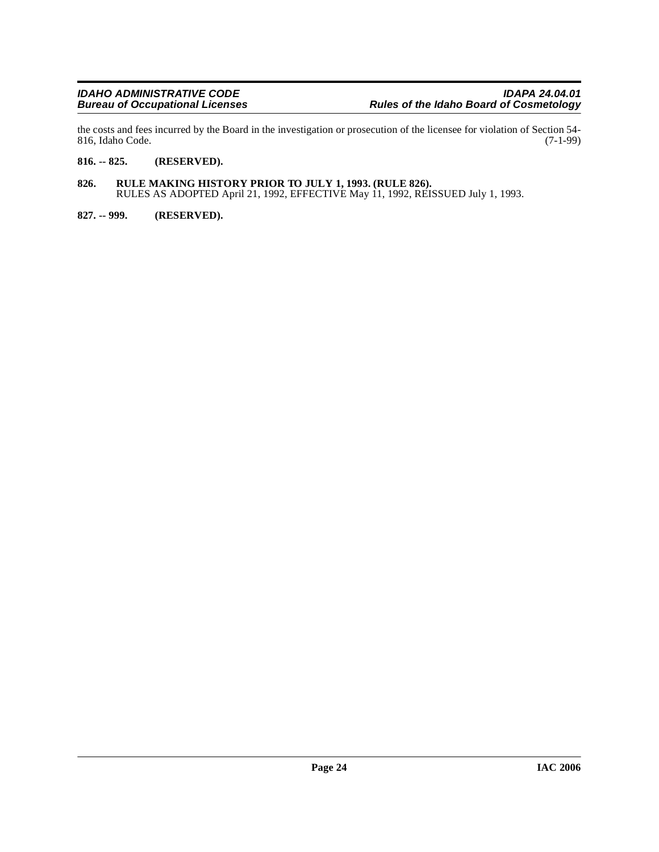the costs and fees incurred by the Board in the investigation or prosecution of the licensee for violation of Section 54-<br>816, Idaho Code. (7-1-99) 816, Idaho Code.

#### <span id="page-23-0"></span>**816. -- 825. (RESERVED).**

- <span id="page-23-1"></span>**826. RULE MAKING HISTORY PRIOR TO JULY 1, 1993. (RULE 826).** RULES AS ADOPTED April 21, 1992, EFFECTIVE May 11, 1992, REISSUED July 1, 1993.
- <span id="page-23-2"></span>**827. -- 999. (RESERVED).**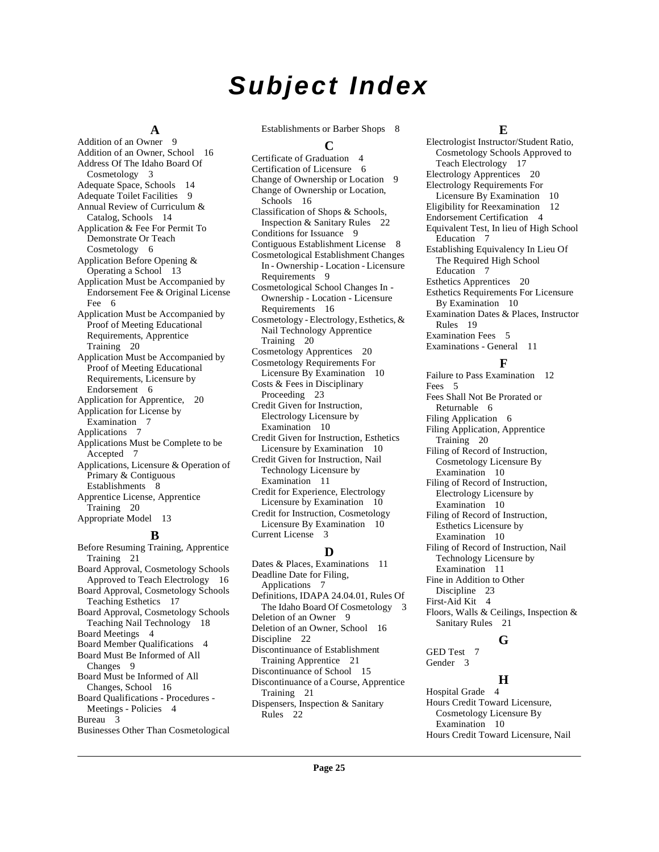# **Subject Index**

#### **A**

Addition of an Owner [9](#page-8-3) Addition of an Owner, School [16](#page-15-4) Address Of The Idaho Board Of Cosmetology [3](#page-2-10) Adequate Space, Schools [14](#page-13-0) Adequate Toilet Facilities [9](#page-8-4) Annual Review of Curriculum & Catalog, Schools [14](#page-13-1) Application & Fee For Permit To Demonstrate Or Teach Cosmetology [6](#page-5-5) Application Before Opening & Operating a School [13](#page-12-10) Application Must be Accompanied by Endorsement Fee & Original License Fee [6](#page-5-6) Application Must be Accompanied by Proof of Meeting Educational Requirements, Apprentice Training [20](#page-19-2) Application Must be Accompanied by Proof of Meeting Educational Requirements, Licensure by Endorsement [6](#page-5-7) Application for Apprentice, [20](#page-19-3) Application for License by Examination [7](#page-6-3) Applications [7](#page-6-4) Applications Must be Complete to be Accepted [7](#page-6-5) Applications, Licensure & Operation of Primary & Contiguous Establishments [8](#page-7-2) Apprentice License, Apprentice Training [20](#page-19-4) Appropriate Model [13](#page-12-11)

#### **B**

Before Resuming Training, Apprentice Training [21](#page-20-2) Board Approval, Cosmetology Schools Approved to Teach Electrology [16](#page-15-5) Board Approval, Cosmetology Schools Teaching Esthetics [17](#page-16-2) Board Approval, Cosmetology Schools Teaching Nail Technology [18](#page-17-4) Board Meetings [4](#page-3-2) Board Member Qualifications [4](#page-3-3) Board Must Be Informed of All Changes [9](#page-8-5) Board Must be Informed of All Changes, School [16](#page-15-6) Board Qualifications - Procedures - Meetings - Policies [4](#page-3-4) Bureau [3](#page-2-11) Businesses Other Than Cosmetological Establishments or Barber Shops [8](#page-7-3)

#### **C**

Certificate of Graduation [4](#page-3-5) Certification of Licensure [6](#page-5-8) Change of Ownership or Location [9](#page-8-6) Change of Ownership or Location, Schools [16](#page-15-7) Classification of Shops & Schools, Inspection & Sanitary Rules [22](#page-21-2) Conditions for Issuance [9](#page-8-7) Contiguous Establishment License [8](#page-7-4) Cosmetological Establishment Changes In - Ownership - Location - Licensure Requirements [9](#page-8-8) Cosmetological School Changes In - Ownership - Location - Licensure Requirements [16](#page-15-8) Cosmetology - Electrology, Esthetics, & Nail Technology Apprentice Training [20](#page-19-5) Cosmetology Apprentices [20](#page-19-6) Cosmetology Requirements For Licensure By Examination [10](#page-9-5) Costs & Fees in Disciplinary Proceeding [23](#page-22-0) Credit Given for Instruction, Electrology Licensure by Examination [10](#page-9-6) Credit Given for Instruction, Esthetics Licensure by Examination [10](#page-9-7) Credit Given for Instruction, Nail Technology Licensure by Examination [11](#page-10-4) Credit for Experience, Electrology Licensure by Examination [10](#page-9-8) Credit for Instruction, Cosmetology Licensure By Examination [10](#page-9-9) Current License [3](#page-2-12)

#### **D**

Dates & Places, Examinations [11](#page-10-5) Deadline Date for Filing, Applications [7](#page-6-6) Definitions, IDAPA 24.04.01, Rules Of The Idaho Board Of Cosmetology [3](#page-2-13) Deletion of an Owner [9](#page-8-9) Deletion of an Owner, School [16](#page-15-9) Discipline [22](#page-21-3) Discontinuance of Establishment Training Apprentice [21](#page-20-3) Discontinuance of School [15](#page-14-0) Discontinuance of a Course, Apprentice Training [21](#page-20-4) Dispensers, Inspection & Sanitary Rules [22](#page-21-4)

#### **E**

Electrologist Instructor/Student Ratio, Cosmetology Schools Approved to Teach Electrology [17](#page-16-3) Electrology Apprentices [20](#page-19-7) Electrology Requirements For Licensure By Examination [10](#page-9-10) Eligibility for Reexamination [12](#page-11-2) Endorsement Certification [4](#page-3-6) Equivalent Test, In lieu of High School Education [7](#page-6-7) Establishing Equivalency In Lieu Of The Required High School Education [7](#page-6-8) Esthetics Apprentices [20](#page-19-8) Esthetics Requirements For Licensure By Examination [10](#page-9-11) Examination Dates & Places, Instructor Rules [19](#page-18-0) Examination Fees [5](#page-4-2) Examinations - General [11](#page-10-6)

#### **F**

Failure to Pass Examination [12](#page-11-3) Fees [5](#page-4-3) Fees Shall Not Be Prorated or Returnable [6](#page-5-9) Filing Application [6](#page-5-10) Filing Application, Apprentice Training [20](#page-19-9) Filing of Record of Instruction, Cosmetology Licensure By Examination [10](#page-9-12) Filing of Record of Instruction, Electrology Licensure by Examination [10](#page-9-13) Filing of Record of Instruction, Esthetics Licensure by Examination [10](#page-9-14) Filing of Record of Instruction, Nail Technology Licensure by Examination [11](#page-10-7) Fine in Addition to Other Discipline [23](#page-22-1) First-Aid Kit [4](#page-3-7) Floors, Walls & Ceilings, Inspection & Sanitary Rules [21](#page-20-5)

#### **G**

GED Test [7](#page-6-9) Gender [3](#page-2-14)

#### **H**

Hospital Grade [4](#page-3-8) Hours Credit Toward Licensure, Cosmetology Licensure By Examination [10](#page-9-15) Hours Credit Toward Licensure, Nail